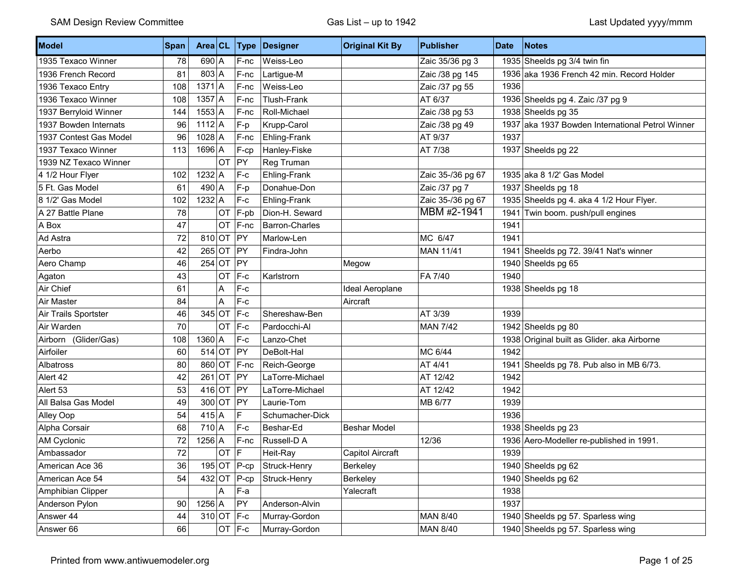| Model                   | Span |                |            | Area CL Type    | Designer              | <b>Original Kit By</b>  | <b>Publisher</b>  | <b>Date</b> | Notes                                            |
|-------------------------|------|----------------|------------|-----------------|-----------------------|-------------------------|-------------------|-------------|--------------------------------------------------|
| 1935 Texaco Winner      | 78   | $690$ A        |            | F-nc            | Weiss-Leo             |                         | Zaic 35/36 pg 3   |             | 1935 Sheelds pg 3/4 twin fin                     |
| 1936 French Record      | 81   | $803 \mid A$   |            | F-nc            | Lartigue-M            |                         | Zaic /38 pg 145   |             | 1936 aka 1936 French 42 min. Record Holder       |
| 1936 Texaco Entry       | 108  | $1371$ A       |            | F-nc            | Weiss-Leo             |                         | Zaic /37 pg 55    | 1936        |                                                  |
| 1936 Texaco Winner      | 108  | $1357$ A       |            | F-nc            | <b>Tlush-Frank</b>    |                         | AT 6/37           |             | 1936 Sheelds pg 4. Zaic /37 pg 9                 |
| 1937 Berryloid Winner   | 144  | $1553$ A       |            | F-nc            | Roll-Michael          |                         | Zaic /38 pg 53    |             | 1938 Sheelds pg 35                               |
| 1937 Bowden Internats   | 96   | $1112$ A       |            | F-p             | Krupp-Carol           |                         | Zaic /38 pg 49    |             | 1937 aka 1937 Bowden International Petrol Winner |
| 1937 Contest Gas Model  | 96   | $1028$ A       |            | F-nc            | Ehling-Frank          |                         | AT 9/37           | 1937        |                                                  |
| 1937 Texaco Winner      | 113  | $1696$ A       |            | F-cp            | Hanley-Fiske          |                         | AT 7/38           |             | 1937 Sheelds pg 22                               |
| 1939 NZ Texaco Winner   |      |                | OT         | PY              | Reg Truman            |                         |                   |             |                                                  |
| 4 1/2 Hour Flyer        | 102  | $1232$ A       |            | $F-c$           | Ehling-Frank          |                         | Zaic 35-/36 pg 67 |             | 1935 aka 8 1/2' Gas Model                        |
| 5 Ft. Gas Model         | 61   | $490 \mid A$   |            | F-p             | Donahue-Don           |                         | Zaic /37 pg 7     |             | 1937 Sheelds pg 18                               |
| 8 1/2' Gas Model        | 102  | $1232$ A       |            | $F-c$           | Ehling-Frank          |                         | Zaic 35-/36 pg 67 |             | 1935 Sheelds pg 4. aka 4 1/2 Hour Flyer.         |
| A 27 Battle Plane       | 78   |                | OT         | F-pb            | Dion-H. Seward        |                         | MBM #2-1941       |             | 1941 Twin boom. push/pull engines                |
| A Box                   | 47   |                | <b>OT</b>  | F-nc            | <b>Barron-Charles</b> |                         |                   | 1941        |                                                  |
| Ad Astra                | 72   | $810$ OT       |            | PY              | Marlow-Len            |                         | MC 6/47           | 1941        |                                                  |
| Aerbo                   | 42   | $265$ OT       |            | <b>PY</b>       | Findra-John           |                         | <b>MAN 11/41</b>  |             | 1941 Sheelds pg 72. 39/41 Nat's winner           |
| Aero Champ              | 46   | $254$ OT       |            | PY              |                       | Megow                   |                   |             | 1940 Sheelds pg 65                               |
| Agaton                  | 43   |                | OT         | F-c             | Karlstrorn            |                         | FA 7/40           | 1940        |                                                  |
| Air Chief               | 61   |                | A          | $F-c$           |                       | Ideal Aeroplane         |                   |             | 1938 Sheelds pg 18                               |
| Air Master              | 84   |                | A          | $F-c$           |                       | Aircraft                |                   |             |                                                  |
| Air Trails Sportster    | 46   | $345$ OT       |            | $ F-c$          | Shereshaw-Ben         |                         | AT 3/39           | 1939        |                                                  |
| Air Warden              | 70   |                | <b>OT</b>  | $F-c$           | Pardocchi-Al          |                         | <b>MAN 7/42</b>   |             | 1942 Sheelds pg 80                               |
| Airborn<br>(Glider/Gas) | 108  | $1360$ A       |            | $F-c$           | Lanzo-Chet            |                         |                   |             | 1938 Original built as Glider. aka Airborne      |
| Airfoiler               | 60   | $514$ OT       |            | PY              | DeBolt-Hal            |                         | MC 6/44           | 1942        |                                                  |
| Albatross               | 80   | 860 OT         |            | $F$ -nc         | Reich-George          |                         | AT 4/41           |             | 1941 Sheelds pg 78. Pub also in MB 6/73.         |
| Alert 42                | 42   | $261$ OT       |            | PY              | LaTorre-Michael       |                         | AT 12/42          | 1942        |                                                  |
| Alert 53                | 53   | $416$ OT       |            | $ $ PY          | LaTorre-Michael       |                         | AT 12/42          | 1942        |                                                  |
| All Balsa Gas Model     | 49   |                | $300$ OT   | PY              | Laurie-Tom            |                         | MB 6/77           | 1939        |                                                  |
| Alley Oop               | 54   | $415 \mid A$   |            | F.              | Schumacher-Dick       |                         |                   | 1936        |                                                  |
| Alpha Corsair           | 68   | $710 \text{A}$ |            | $F-c$           | Beshar-Ed             | <b>Beshar Model</b>     |                   |             | 1938 Sheelds pg 23                               |
| AM Cyclonic             | 72   | $1256$ A       |            | F-nc            | Russell-D A           |                         | 12/36             |             | 1936 Aero-Modeller re-published in 1991.         |
| Ambassador              | 72   |                | OT         | IF.             | Heit-Ray              | <b>Capitol Aircraft</b> |                   | 1939        |                                                  |
| American Ace 36         | 36   |                |            | 195 OT $ P$ -cp | Struck-Henry          | Berkeley                |                   |             | 1940 Sheelds pg 62                               |
| American Ace 54         | 54   | $432$ OT       |            | $P$ -cp         | Struck-Henry          | Berkeley                |                   |             | 1940 Sheelds pg 62                               |
| Amphibian Clipper       |      |                | A          | F--a            |                       | Yalecraft               |                   | 1938        |                                                  |
| Anderson Pylon          | 90   | $1256$ A       |            | PY              | Anderson-Alvin        |                         |                   | 1937        |                                                  |
| Answer 44               | 44   |                | 310 OT F-c |                 | Murray-Gordon         |                         | <b>MAN 8/40</b>   |             | 1940 Sheelds pg 57. Sparless wing                |
| Answer 66               | 66   |                |            | OT $F-c$        | Murray-Gordon         |                         | MAN 8/40          |             | 1940 Sheelds pg 57. Sparless wing                |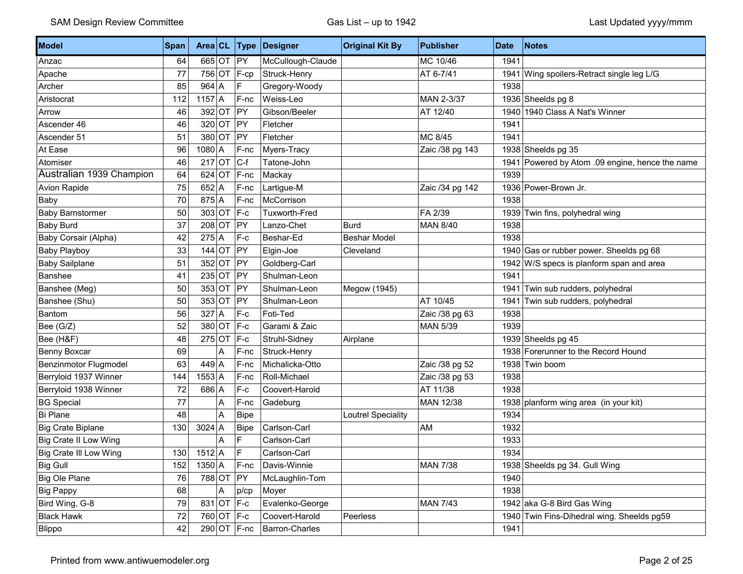| Model                         | <b>Span</b> | Area CL      |   |               | <b>Type Designer</b> | <b>Original Kit By</b> | <b>Publisher</b> | <b>Date</b> | <b>Notes</b>                                    |
|-------------------------------|-------------|--------------|---|---------------|----------------------|------------------------|------------------|-------------|-------------------------------------------------|
| Anzac                         | 64          | 665 OT PY    |   |               | McCullough-Claude    |                        | MC 10/46         | 1941        |                                                 |
| Apache                        | 77          | 756 OT       |   | $F-cp$        | Struck-Henry         |                        | AT 6-7/41        |             | 1941 Wing spoilers-Retract single leg L/G       |
| Archer                        | 85          | $964$ A      |   | F             | Gregory-Woody        |                        |                  | 1938        |                                                 |
| Aristocrat                    | 112         | $1157$ A     |   | F-nc          | Weiss-Leo            |                        | MAN 2-3/37       |             | 1936 Sheelds pg 8                               |
| Arrow                         | 46          | $392$ OT     |   | PY            | Gibson/Beeler        |                        | AT 12/40         |             | 1940 1940 Class A Nat's Winner                  |
| Ascender 46                   | 46          | $320$ OT     |   | PY            | Fletcher             |                        |                  | 1941        |                                                 |
| Ascender 51                   | 51          | $380$ OT     |   | $ $ PY        | Fletcher             |                        | MC 8/45          | 1941        |                                                 |
| At Ease                       | 96          | $1080$ A     |   | F-nc          | Myers-Tracy          |                        | Zaic /38 pg 143  |             | 1938 Sheelds pg 35                              |
| Atomiser                      | 46          | $217$ OT     |   | $ C-f $       | Tatone-John          |                        |                  |             | 1941 Powered by Atom .09 engine, hence the name |
| Australian 1939 Champion      | 64          | $624$ OT     |   | $F$ -nc       | Mackay               |                        |                  | 1939        |                                                 |
| Avion Rapide                  | 75          | $652$ A      |   | $F$ -nc       | Lartigue-M           |                        | Zaic /34 pg 142  |             | 1936 Power-Brown Jr.                            |
| Baby                          | 70          | $875$ A      |   | F-nc          | McCorrison           |                        |                  | 1938        |                                                 |
| <b>Baby Barnstormer</b>       | 50          | $303$ OT F-c |   |               | <b>Tuxworth-Fred</b> |                        | FA 2/39          |             | 1939 Twin fins, polyhedral wing                 |
| <b>Baby Burd</b>              | 37          | $208$ OT     |   | PY            | Lanzo-Chet           | <b>Burd</b>            | <b>MAN 8/40</b>  | 1938        |                                                 |
| Baby Corsair (Alpha)          | 42          | $275$ A      |   | F-c           | Beshar-Ed            | <b>Beshar Model</b>    |                  | 1938        |                                                 |
| <b>Baby Playboy</b>           | 33          | $144$ OT     |   | $ $ PY        | Elgin-Joe            | Cleveland              |                  |             | 1940 Gas or rubber power. Sheelds pg 68         |
| <b>Baby Sailplane</b>         | 51          | $352$ OT     |   | PY            | Goldberg-Carl        |                        |                  |             | 1942 W/S specs is planform span and area        |
| Banshee                       | 41          | $235$ OT     |   | PY            | Shulman-Leon         |                        |                  | 1941        |                                                 |
| Banshee (Meg)                 | 50          | $353$ OT     |   | PY            | Shulman-Leon         | Megow (1945)           |                  |             | 1941 Twin sub rudders, polyhedral               |
| Banshee (Shu)                 | 50          | $353$ OT     |   | $ $ PY        | Shulman-Leon         |                        | AT 10/45         |             | 1941 Twin sub rudders, polyhedral               |
| Bantom                        | 56          | $327$ A      |   | F-c           | Foti-Ted             |                        | Zaic /38 pg 63   | 1938        |                                                 |
| Bee (G/Z)                     | 52          | $380$ OT     |   | $F-c$         | Garami & Zaic        |                        | <b>MAN 5/39</b>  | 1939        |                                                 |
| Bee (H&F)                     | 48          | $275$ OT     |   | $F-c$         | Struhl-Sidney        | Airplane               |                  |             | 1939 Sheelds pg 45                              |
| Benny Boxcar                  | 69          |              | Α | F-nc          | Struck-Henry         |                        |                  |             | 1938 Forerunner to the Record Hound             |
| Benzinmotor Flugmodel         | 63          | $449$ A      |   | F-nc          | Michalicka-Otto      |                        | Zaic /38 pg 52   |             | 1938 Twin boom                                  |
| Berryloid 1937 Winner         | 144         | $1553$ A     |   | F-nc          | Roll-Michael         |                        | Zaic /38 pg 53   | 1938        |                                                 |
| Berryloid 1938 Winner         | 72          | $686$ A      |   | $F-c$         | Coovert-Harold       |                        | AT 11/38         | 1938        |                                                 |
| <b>BG Special</b>             | 77          |              | A | F-nc          | Gadeburg             |                        | MAN 12/38        |             | 1938 planform wing area (in your kit)           |
| <b>Bi Plane</b>               | 48          |              | A | <b>Bipe</b>   |                      | Loutrel Speciality     |                  | 1934        |                                                 |
| <b>Big Crate Biplane</b>      | 130         | $3024$ A     |   | <b>Bipe</b>   | Carlson-Carl         |                        | AM               | 1932        |                                                 |
| <b>Big Crate II Low Wing</b>  |             |              | Α | $\mathsf F$   | Carlson-Carl         |                        |                  | 1933        |                                                 |
| <b>Big Crate III Low Wing</b> | 130         | $1512$ A     |   | F             | Carlson-Carl         |                        |                  | 1934        |                                                 |
| <b>Big Gull</b>               | 152         | $1350$ A     |   | $F-nc$        | Davis-Winnie         |                        | <b>MAN 7/38</b>  |             | 1938 Sheelds pg 34. Gull Wing                   |
| Big Ole Plane                 | 76          | 788 OT PY    |   |               | McLaughlin-Tom       |                        |                  | 1940        |                                                 |
| Big Pappy                     | 68          |              | Α | p/cp          | Moyer                |                        |                  | 1938        |                                                 |
| Bird Wing, G-8                | 79          | 831 OT F-c   |   |               | Evalenko-George      |                        | <b>MAN 7/43</b>  |             | 1942 aka G-8 Bird Gas Wing                      |
| <b>Black Hawk</b>             | 72          | 760 OT F-c   |   |               | Coovert-Harold       | Peerless               |                  |             | 1940 Twin Fins-Dihedral wing. Sheelds pg59      |
| Blippo                        | 42          |              |   | $290$ OT F-nc | Barron-Charles       |                        |                  | 1941        |                                                 |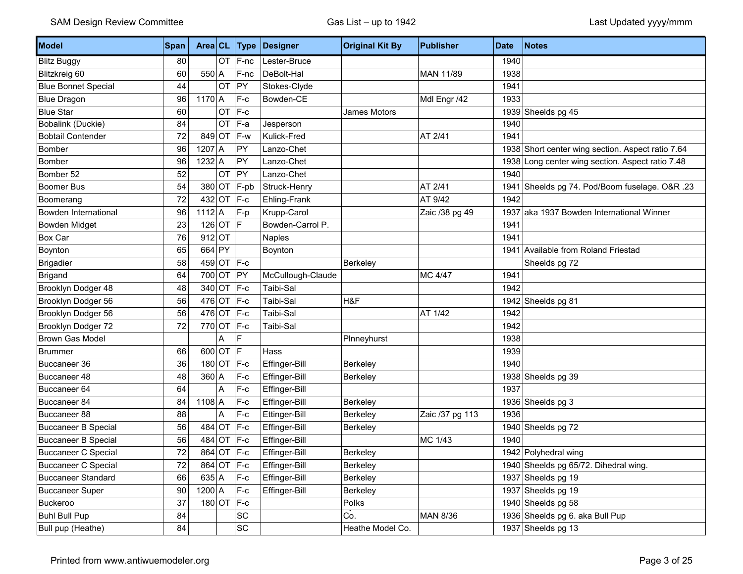| Model                      | Span | Area CL       |           | <b>Type</b>  | Designer          | <b>Original Kit By</b> | <b>Publisher</b> | <b>Date</b> | <b>Notes</b>                                      |
|----------------------------|------|---------------|-----------|--------------|-------------------|------------------------|------------------|-------------|---------------------------------------------------|
| <b>Blitz Buggy</b>         | 80   |               | <b>OT</b> | F-nc         | Lester-Bruce      |                        |                  | 1940        |                                                   |
| Blitzkreig 60              | 60   | $550 \mid A$  |           | F-nc         | DeBolt-Hal        |                        | MAN 11/89        | 1938        |                                                   |
| <b>Blue Bonnet Special</b> | 44   |               | OT        | PY           | Stokes-Clyde      |                        |                  | 1941        |                                                   |
| <b>Blue Dragon</b>         | 96   | $1170$ A      |           | $F-c$        | Bowden-CE         |                        | Mdl Engr /42     | 1933        |                                                   |
| <b>Blue Star</b>           | 60   |               | OT        | $F-c$        |                   | James Motors           |                  |             | 1939 Sheelds pg 45                                |
| Bobalink (Duckie)          | 84   |               | OT        | F-a          | Jesperson         |                        |                  | 1940        |                                                   |
| <b>Bobtail Contender</b>   | 72   | $849$ OT      |           | F-w          | Kulick-Fred       |                        | AT 2/41          | 1941        |                                                   |
| Bomber                     | 96   | $1207$ A      |           | PY           | Lanzo-Chet        |                        |                  |             | 1938 Short center wing section. Aspect ratio 7.64 |
| Bomber                     | 96   | $1232$ A      |           | PY           | Lanzo-Chet        |                        |                  |             | 1938 Long center wing section. Aspect ratio 7.48  |
| Bomber 52                  | 52   |               | OT        | PY           | Lanzo-Chet        |                        |                  | 1940        |                                                   |
| Boomer Bus                 | 54   | 380 OT        |           | $F$ -pb      | Struck-Henry      |                        | AT 2/41          |             | 1941 Sheelds pg 74. Pod/Boom fuselage. O&R .23    |
| Boomerang                  | 72   | $432$ OT      |           | $ F-c$       | Ehling-Frank      |                        | AT 9/42          | 1942        |                                                   |
| Bowden International       | 96   | $1112$ A      |           | F-p          | Krupp-Carol       |                        | Zaic /38 pg 49   |             | 1937 aka 1937 Bowden International Winner         |
| <b>Bowden Midget</b>       | 23   | $126$ OT      |           | lF.          | Bowden-Carrol P.  |                        |                  | 1941        |                                                   |
| Box Car                    | 76   | $912$ OT      |           |              | <b>Naples</b>     |                        |                  | 1941        |                                                   |
| Boynton                    | 65   | 664           | $ $ PY    |              | Boynton           |                        |                  |             | 1941 Available from Roland Friestad               |
| <b>Brigadier</b>           | 58   |               |           | 459 OT F-c   |                   | Berkeley               |                  |             | Sheelds pg 72                                     |
| <b>Brigand</b>             | 64   | 700 OT        |           | PY           | McCullough-Claude |                        | MC 4/47          | 1941        |                                                   |
| Brooklyn Dodger 48         | 48   | $340$ OT      |           | $ F-c$       | Taibi-Sal         |                        |                  | 1942        |                                                   |
| Brooklyn Dodger 56         | 56   | $476$ OT      |           | $ F-c$       | Taibi-Sal         | H&F                    |                  |             | 1942 Sheelds pg 81                                |
| Brooklyn Dodger 56         | 56   | 476 OT F-c    |           |              | Taibi-Sal         |                        | AT 1/42          | 1942        |                                                   |
| Brooklyn Dodger 72         | 72   | $770$ OT      |           | $ F-c$       | Taibi-Sal         |                        |                  | 1942        |                                                   |
| <b>Brown Gas Model</b>     |      |               | Α         | F            |                   | Plnneyhurst            |                  | 1938        |                                                   |
| <b>Brummer</b>             | 66   | $600$ OT      |           | lF.          | Hass              |                        |                  | 1939        |                                                   |
| Buccaneer 36               | 36   |               | $180$ OT  | $ F-c$       | Effinger-Bill     | Berkeley               |                  | 1940        |                                                   |
| Buccaneer 48               | 48   | $360$ A       |           | $F-c$        | Effinger-Bill     | Berkeley               |                  |             | 1938 Sheelds pg 39                                |
| Buccaneer 64               | 64   |               | A         | $F-c$        | Effinger-Bill     |                        |                  | 1937        |                                                   |
| Buccaneer 84               | 84   | $1108$ A      |           | F-c          | Effinger-Bill     | Berkeley               |                  |             | 1936 Sheelds pg 3                                 |
| Buccaneer 88               | 88   |               | A         | $F-c$        | Ettinger-Bill     | Berkeley               | Zaic /37 pg 113  | 1936        |                                                   |
| <b>Buccaneer B Special</b> | 56   | $484$ OT      |           | F-c          | Effinger-Bill     | Berkeley               |                  |             | 1940 Sheelds pg 72                                |
| <b>Buccaneer B Special</b> | 56   | $484$ OT      |           | $ F-c$       | Effinger-Bill     |                        | MC 1/43          | 1940        |                                                   |
| <b>Buccaneer C Special</b> | 72   |               |           | 864 OT F-c   | Effinger-Bill     | Berkeley               |                  |             | 1942 Polyhedral wing                              |
| <b>Buccaneer C Special</b> | 72   |               |           | 864 OT F-c   | Effinger-Bill     | Berkeley               |                  |             | 1940 Sheelds pg 65/72. Dihedral wing.             |
| <b>Buccaneer Standard</b>  | 66   | 635 A         |           | $F-c$        | Effinger-Bill     | Berkeley               |                  |             | 1937 Sheelds pg 19                                |
| <b>Buccaneer Super</b>     | 90   | $1200 \mid A$ |           | $F-c$        | Effinger-Bill     | Berkeley               |                  |             | 1937 Sheelds pg 19                                |
| Buckeroo                   | 37   |               |           | $180$ OT F-c |                   | Polks                  |                  |             | 1940 Sheelds pg 58                                |
| <b>Buhl Bull Pup</b>       | 84   |               |           | SC           |                   | Co.                    | MAN 8/36         |             | 1936 Sheelds pg 6. aka Bull Pup                   |
| Bull pup (Heathe)          | 84   |               |           | <b>SC</b>    |                   | Heathe Model Co.       |                  |             | 1937 Sheelds pg 13                                |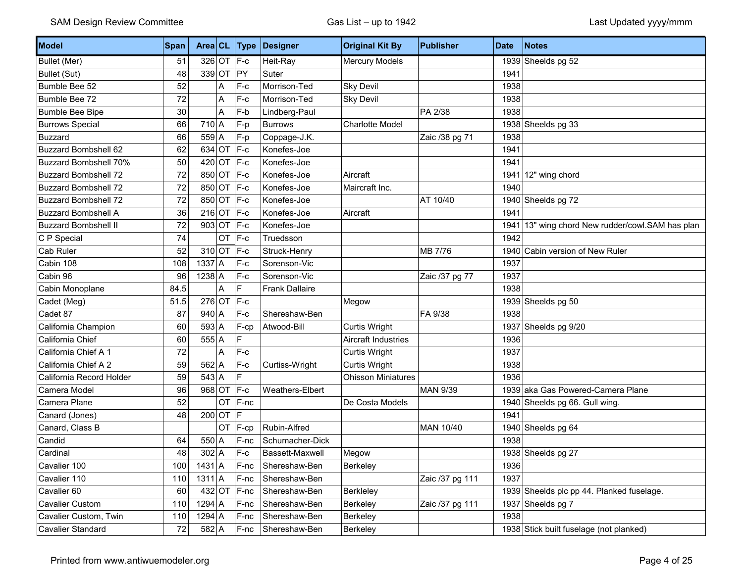| Model                        | <b>Span</b> | Area CL      |           | Type       | Designer               | <b>Original Kit By</b>     | <b>Publisher</b> | <b>Date</b> | <b>Notes</b>                                |
|------------------------------|-------------|--------------|-----------|------------|------------------------|----------------------------|------------------|-------------|---------------------------------------------|
| Bullet (Mer)                 | 51          |              |           | 326 OT F-c | Heit-Ray               | <b>Mercury Models</b>      |                  |             | 1939 Sheelds pg 52                          |
| <b>Bullet (Sut)</b>          | 48          | $339$ OT     |           | PY         | Suter                  |                            |                  | 1941        |                                             |
| Bumble Bee 52                | 52          |              | A         | $F-c$      | Morrison-Ted           | Sky Devil                  |                  | 1938        |                                             |
| Bumble Bee 72                | 72          |              | A         | $F-c$      | Morrison-Ted           | <b>Sky Devil</b>           |                  | 1938        |                                             |
| <b>Bumble Bee Bipe</b>       | 30          |              | A         | $F-b$      | Lindberg-Paul          |                            | PA 2/38          | 1938        |                                             |
| <b>Burrows Special</b>       | 66          | $710$ A      |           | F-p        | <b>Burrows</b>         | <b>Charlotte Model</b>     |                  |             | 1938 Sheelds pg 33                          |
| <b>Buzzard</b>               | 66          | $559$ A      |           | F-p        | Coppage-J.K.           |                            | Zaic /38 pg 71   | 1938        |                                             |
| <b>Buzzard Bombshell 62</b>  | 62          | $634$ OT     |           | $F-c$      | Konefes-Joe            |                            |                  | 1941        |                                             |
| <b>Buzzard Bombshell 70%</b> | 50          | $420$ OT     |           | $ F-c$     | Konefes-Joe            |                            |                  | 1941        |                                             |
| <b>Buzzard Bombshell 72</b>  | 72          | 850 OT       |           | $F-c$      | Konefes-Joe            | Aircraft                   |                  | 1941        | 12" wing chord                              |
| <b>Buzzard Bombshell 72</b>  | 72          | 850 OT       |           | $F-c$      | Konefes-Joe            | Maircraft Inc.             |                  | 1940        |                                             |
| <b>Buzzard Bombshell 72</b>  | 72          | 850 OT       |           | $ F-c$     | Konefes-Joe            |                            | AT 10/40         |             | 1940 Sheelds pg 72                          |
| <b>Buzzard Bombshell A</b>   | 36          | 216 OT F-c   |           |            | Konefes-Joe            | Aircraft                   |                  | 1941        |                                             |
| <b>Buzzard Bombshell II</b>  | 72          | $903$ OT     |           | $F-c$      | Konefes-Joe            |                            |                  | 1941        | 13" wing chord New rudder/cowl.SAM has plan |
| C P Special                  | 74          |              | <b>OT</b> | $F-c$      | Truedsson              |                            |                  | 1942        |                                             |
| Cab Ruler                    | 52          | 310 OT $F-c$ |           |            | Struck-Henry           |                            | MB 7/76          |             | 1940 Cabin version of New Ruler             |
| Cabin 108                    | 108         | $1337$ A     |           | $F-c$      | Sorenson-Vic           |                            |                  | 1937        |                                             |
| Cabin 96                     | 96          | $1238$ A     |           | F-c        | Sorenson-Vic           |                            | Zaic /37 pg 77   | 1937        |                                             |
| Cabin Monoplane              | 84.5        |              | A         | F          | <b>Frank Dallaire</b>  |                            |                  | 1938        |                                             |
| Cadet (Meg)                  | 51.5        | $276$ OT     |           | F-c        |                        | Megow                      |                  |             | 1939 Sheelds pg 50                          |
| Cadet 87                     | 87          | $940$ A      |           | $F-c$      | Shereshaw-Ben          |                            | FA 9/38          | 1938        |                                             |
| California Champion          | 60          | $593$ A      |           | F-cp       | Atwood-Bill            | <b>Curtis Wright</b>       |                  |             | 1937 Sheelds pg 9/20                        |
| California Chief             | 60          | $555$ A      |           | F          |                        | <b>Aircraft Industries</b> |                  | 1936        |                                             |
| California Chief A 1         | 72          |              | A         | $F-c$      |                        | Curtis Wright              |                  | 1937        |                                             |
| California Chief A 2         | 59          | $562$ A      |           | F-c        | Curtiss-Wright         | Curtis Wright              |                  | 1938        |                                             |
| California Record Holder     | 59          | $543$ A      |           | F          |                        | <b>Ohisson Miniatures</b>  |                  | 1936        |                                             |
| Camera Model                 | 96          | $968$ OT     |           | F-c        | Weathers-Elbert        |                            | <b>MAN 9/39</b>  |             | 1939 aka Gas Powered-Camera Plane           |
| Camera Plane                 | 52          |              | OT        | F-nc       |                        | De Costa Models            |                  |             | 1940 Sheelds pg 66. Gull wing.              |
| Canard (Jones)               | 48          | $200$ OT F   |           |            |                        |                            |                  | 1941        |                                             |
| Canard, Class B              |             |              | OT        | F-cp       | Rubin-Alfred           |                            | MAN 10/40        |             | 1940 Sheelds pg 64                          |
| Candid                       | 64          | $550 \,   A$ |           | F-nc       | Schumacher-Dick        |                            |                  | 1938        |                                             |
| Cardinal                     | 48          | $302$ A      |           | $F-c$      | <b>Bassett-Maxwell</b> | Megow                      |                  |             | 1938 Sheelds pg 27                          |
| Cavalier 100                 | 100         | $1431$ A     |           | F-nc       | Shereshaw-Ben          | Berkeley                   |                  | 1936        |                                             |
| Cavalier 110                 | 110         | $1311$ A     |           | F-nc       | Shereshaw-Ben          |                            | Zaic /37 pg 111  | 1937        |                                             |
| Cavalier 60                  | 60          | $432$ OT     |           | $F-nc$     | Shereshaw-Ben          | Berkleley                  |                  |             | 1939 Sheelds plc pp 44. Planked fuselage.   |
| Cavalier Custom              | 110         | $1294$ A     |           | F-nc       | Shereshaw-Ben          | Berkeley                   | Zaic /37 pg 111  | 1937        | Sheelds pg 7                                |
| Cavalier Custom, Twin        | 110         | $1294$ A     |           | F-nc       | Shereshaw-Ben          | Berkeley                   |                  | 1938        |                                             |
| Cavalier Standard            | 72          | $582$ A      |           | $F$ -nc    | Shereshaw-Ben          | Berkeley                   |                  |             | 1938 Stick built fuselage (not planked)     |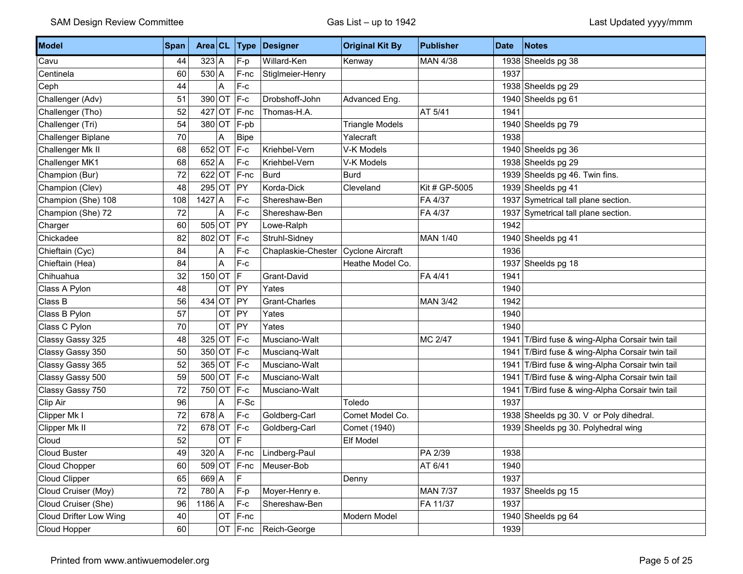| Model                  | <b>Span</b> | Area CL  |           | <b>Type</b>   | Designer           | <b>Original Kit By</b>  | <b>Publisher</b> | <b>Date</b> | Notes                                      |
|------------------------|-------------|----------|-----------|---------------|--------------------|-------------------------|------------------|-------------|--------------------------------------------|
| Cavu                   | 44          | 323 A    |           | F-p           | Willard-Ken        | Kenway                  | MAN 4/38         | 1938        | Sheelds pg 38                              |
| Centinela              | 60          | $530$ A  |           | F-nc          | Stiglmeier-Henry   |                         |                  | 1937        |                                            |
| Ceph                   | 44          |          | A         | $F-c$         |                    |                         |                  |             | 1938 Sheelds pg 29                         |
| Challenger (Adv)       | 51          | 390 OT   |           | $F-c$         | Drobshoff-John     | Advanced Eng.           |                  |             | 1940 Sheelds pg 61                         |
| Challenger (Tho)       | 52          | $427$ OT |           | F-nc          | Thomas-H.A.        |                         | AT 5/41          | 1941        |                                            |
| Challenger (Tri)       | 54          | 380 OT   |           | F-pb          |                    | <b>Triangle Models</b>  |                  |             | 1940 Sheelds pg 79                         |
| Challenger Biplane     | $70\,$      |          | A         | <b>Bipe</b>   |                    | Yalecraft               |                  | 1938        |                                            |
| Challenger Mk II       | 68          | 652 OT   |           | $F-c$         | Kriehbel-Vern      | V-K Models              |                  |             | 1940 Sheelds pg 36                         |
| Challenger MK1         | 68          | $652$ A  |           | $F-c$         | Kriehbel-Vern      | V-K Models              |                  |             | 1938 Sheelds pg 29                         |
| Champion (Bur)         | 72          | $622$ OT |           | F-nc          | <b>Burd</b>        | <b>Burd</b>             |                  |             | 1939 Sheelds pg 46. Twin fins.             |
| Champion (Clev)        | 48          | $295$ OT |           | PY            | Korda-Dick         | Cleveland               | Kit # GP-5005    |             | 1939 Sheelds pg 41                         |
| Champion (She) 108     | 108         | $1427$ A |           | $F-c$         | Shereshaw-Ben      |                         | FA 4/37          | 1937        | Symetrical tall plane section.             |
| Champion (She) 72      | 72          |          | A         | $F-c$         | Shereshaw-Ben      |                         | FA 4/37          |             | 1937 Symetrical tall plane section.        |
| Charger                | 60          | $505$ OT |           | PY            | Lowe-Ralph         |                         |                  | 1942        |                                            |
| Chickadee              | 82          | 802 OT   |           | $F-c$         | Struhl-Sidney      |                         | <b>MAN 1/40</b>  |             | 1940 Sheelds pg 41                         |
| Chieftain (Cyc)        | 84          |          | Α         | $F-c$         | Chaplaskie-Chester | <b>Cyclone Aircraft</b> |                  | 1936        |                                            |
| Chieftain (Hea)        | 84          |          | A         | $F-c$         |                    | Heathe Model Co.        |                  |             | 1937 Sheelds pg 18                         |
| Chihuahua              | 32          | $150$ OT |           | F             | Grant-David        |                         | FA 4/41          | 1941        |                                            |
| Class A Pylon          | 48          |          | <b>OT</b> | PY            | Yates              |                         |                  | 1940        |                                            |
| Class B                | 56          | $434$ OT |           | PY            | Grant-Charles      |                         | <b>MAN 3/42</b>  | 1942        |                                            |
| Class B Pylon          | 57          |          | OT        | PY            | Yates              |                         |                  | 1940        |                                            |
| Class C Pylon          | $70\,$      |          | OT        | PY            | Yates              |                         |                  | 1940        |                                            |
| Classy Gassy 325       | 48          | $325$ OT |           | $F-c$         | Musciano-Walt      |                         | MC 2/47          | 1941        | T/Bird fuse & wing-Alpha Corsair twin tail |
| Classy Gassy 350       | 50          | $350$ OT |           | $F-c$         | Muscianq-Walt      |                         |                  | 1941        | T/Bird fuse & wing-Alpha Corsair twin tail |
| Classy Gassy 365       | 52          | $365$ OT |           | $F-c$         | Musciano-Walt      |                         |                  | 1941        | T/Bird fuse & wing-Alpha Corsair twin tail |
| Classy Gassy 500       | 59          | $500$ OT |           | $F-c$         | Musciano-Walt      |                         |                  | 1941        | T/Bird fuse & wing-Alpha Corsair twin tail |
| Classy Gassy 750       | 72          | 750 OT   |           | $F-c$         | Musciano-Walt      |                         |                  | 1941        | T/Bird fuse & wing-Alpha Corsair twin tail |
| Clip Air               | 96          |          | A         | F-Sc          |                    | Toledo                  |                  | 1937        |                                            |
| Clipper Mk I           | 72          | $678$ A  |           | $F-c$         | Goldberg-Carl      | Comet Model Co.         |                  |             | 1938 Sheelds pg 30. V or Poly dihedral.    |
| Clipper Mk II          | 72          | $678$ OT |           | $F-c$         | Goldberg-Carl      | Comet (1940)            |                  |             | 1939 Sheelds pg 30. Polyhedral wing        |
| Cloud                  | 52          |          | <b>OT</b> | lF.           |                    | <b>Elf Model</b>        |                  |             |                                            |
| <b>Cloud Buster</b>    | 49          | $320$ A  |           | F-nc          | Lindberg-Paul      |                         | PA 2/39          | 1938        |                                            |
| Cloud Chopper          | 60          |          |           | $509$ OT F-nc | Meuser-Bob         |                         | AT 6/41          | 1940        |                                            |
| Cloud Clipper          | 65          | $669$ A  |           | $\mathsf F$   |                    | Denny                   |                  | 1937        |                                            |
| Cloud Cruiser (Moy)    | 72          | 780 A    |           | $F-p$         | Moyer-Henry e.     |                         | <b>MAN 7/37</b>  |             | 1937 Sheelds pg 15                         |
| Cloud Cruiser (She)    | 96          | $1186$ A |           | $F-c$         | Shereshaw-Ben      |                         | FA 11/37         | 1937        |                                            |
| Cloud Drifter Low Wing | 40          |          | OT        | F-nc          |                    | Modern Model            |                  |             | 1940 Sheelds pg $64$                       |
| Cloud Hopper           | 60          |          |           | $OT$ $F-nc$   | Reich-George       |                         |                  | 1939        |                                            |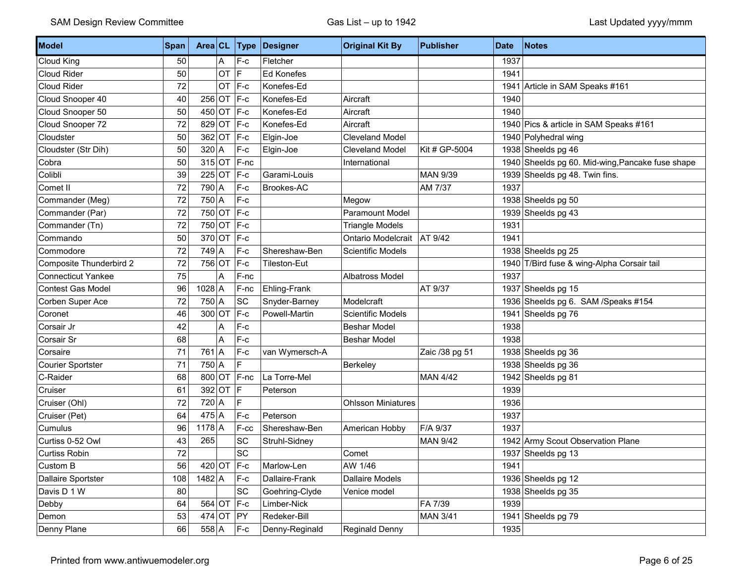| Model                     | <b>Span</b> | Area CL      |    | <b>Type</b> | Designer            | <b>Original Kit By</b>    | <b>Publisher</b> | <b>Date</b> | <b>Notes</b>                                     |
|---------------------------|-------------|--------------|----|-------------|---------------------|---------------------------|------------------|-------------|--------------------------------------------------|
| Cloud King                | 50          |              | A  | $F-c$       | Fletcher            |                           |                  | 1937        |                                                  |
| Cloud Rider               | 50          |              | OT | F.          | <b>Ed Konefes</b>   |                           |                  | 1941        |                                                  |
| Cloud Rider               | 72          |              | OT | $F-c$       | Konefes-Ed          |                           |                  | 1941        | Article in SAM Speaks #161                       |
| Cloud Snooper 40          | 40          | $256$ OT     |    | $ F-c$      | Konefes-Ed          | Aircraft                  |                  | 1940        |                                                  |
| Cloud Snooper 50          | 50          | $450$ OT     |    | $ F-c$      | Konefes-Ed          | Aircraft                  |                  | 1940        |                                                  |
| Cloud Snooper 72          | 72          | 829 OT       |    | $F-c$       | Konefes-Ed          | Aircraft                  |                  |             | 1940 Pics & article in SAM Speaks #161           |
| Cloudster                 | 50          | 362 OT       |    | $ F-c$      | Elgin-Joe           | <b>Cleveland Model</b>    |                  |             | 1940 Polyhedral wing                             |
| Cloudster (Str Dih)       | 50          | $320$ A      |    | $F-c$       | Elgin-Joe           | <b>Cleveland Model</b>    | Kit # GP-5004    |             | 1938 Sheelds pg 46                               |
| Cobra                     | 50          | $315$ OT     |    | F-nc        |                     | International             |                  |             | 1940 Sheelds pg 60. Mid-wing, Pancake fuse shape |
| Colibli                   | 39          | $225$ OT     |    | $F-c$       | Garami-Louis        |                           | <b>MAN 9/39</b>  |             | 1939 Sheelds pg 48. Twin fins.                   |
| Comet II                  | 72          | 790 A        |    | $F-c$       | Brookes-AC          |                           | AM 7/37          | 1937        |                                                  |
| Commander (Meg)           | 72          | 750 A        |    | $F-c$       |                     | Megow                     |                  |             | 1938 Sheelds pg 50                               |
| Commander (Par)           | 72          | 750 OT       |    | $F-c$       |                     | Paramount Model           |                  |             | 1939 Sheelds pg 43                               |
| Commander (Tn)            | 72          | 750 OT       |    | $F-c$       |                     | <b>Triangle Models</b>    |                  | 1931        |                                                  |
| Commando                  | 50          | $370$ OT     |    | $ F-c$      |                     | Ontario Modelcrait        | AT 9/42          | 1941        |                                                  |
| Commodore                 | 72          | 749 A        |    | $F-c$       | Shereshaw-Ben       | <b>Scientific Models</b>  |                  |             | 1938 Sheelds pg 25                               |
| Composite Thunderbird 2   | 72          | 756 OT       |    | $ F-c$      | <b>Tileston-Eut</b> |                           |                  |             | 1940 T/Bird fuse & wing-Alpha Corsair tail       |
| <b>Connecticut Yankee</b> | 75          |              | A  | F-nc        |                     | Albatross Model           |                  | 1937        |                                                  |
| <b>Contest Gas Model</b>  | 96          | $1028$ A     |    | F-nc        | Ehling-Frank        |                           | AT 9/37          |             | 1937 Sheelds pg 15                               |
| Corben Super Ace          | 72          | 750 A        |    | SC          | Snyder-Barney       | Modelcraft                |                  |             | 1936 Sheelds pg 6. SAM / Speaks #154             |
| Coronet                   | 46          | $300$ OT     |    | $F-c$       | Powell-Martin       | <b>Scientific Models</b>  |                  | 1941        | Sheelds pg 76                                    |
| Corsair Jr                | 42          |              | А  | $F-c$       |                     | <b>Beshar Model</b>       |                  | 1938        |                                                  |
| Corsair Sr                | 68          |              | A  | F-c         |                     | <b>Beshar Model</b>       |                  | 1938        |                                                  |
| Corsaire                  | 71          | $761$ A      |    | $F-c$       | van Wymersch-A      |                           | Zaic /38 pg 51   |             | 1938 Sheelds pg 36                               |
| <b>Courier Sportster</b>  | 71          | 750 A        |    | F           |                     | Berkeley                  |                  |             | 1938 Sheelds pg 36                               |
| C-Raider                  | 68          | 800 OT       |    | $F-nc$      | La Torre-Mel        |                           | <b>MAN 4/42</b>  |             | 1942 Sheelds pg 81                               |
| Cruiser                   | 61          | $392$ OT     |    | IF          | Peterson            |                           |                  | 1939        |                                                  |
| Cruiser (Ohl)             | 72          | $720$ A      |    | E           |                     | <b>Ohlsson Miniatures</b> |                  | 1936        |                                                  |
| Cruiser (Pet)             | 64          | $475$ A      |    | $F-c$       | Peterson            |                           |                  | 1937        |                                                  |
| Cumulus                   | 96          | $1178$ A     |    | F-cc        | Shereshaw-Ben       | American Hobby            | F/A 9/37         | 1937        |                                                  |
| Curtiss 0-52 Owl          | 43          | 265          |    | SC          | Struhl-Sidney       |                           | <b>MAN 9/42</b>  |             | 1942 Army Scout Observation Plane                |
| <b>Curtiss Robin</b>      | 72          |              |    | <b>SC</b>   |                     | Comet                     |                  |             | 1937 Sheelds pg 13                               |
| Custom B                  | 56          |              |    | 420 OT F-c  | Marlow-Len          | AW 1/46                   |                  | 1941        |                                                  |
| Dallaire Sportster        | 108         | $1482$ A     |    | F-c         | Dallaire-Frank      | <b>Dallaire Models</b>    |                  |             | 1936 Sheelds pg 12                               |
| Davis D 1 W               | 80          |              |    | SC          | Goehring-Clyde      | Venice model              |                  |             | 1938 Sheelds pg 35                               |
| Debby                     | 64          | $564$ OT F-c |    |             | Limber-Nick         |                           | FA 7/39          | 1939        |                                                  |
| Demon                     | 53          | $474$ OT     |    | PY          | Redeker-Bill        |                           | <b>MAN 3/41</b>  |             | 1941 Sheelds pg 79                               |
| Denny Plane               | 66          | $558$ A      |    | $F-c$       | Denny-Reginald      | Reginald Denny            |                  | 1935        |                                                  |

Ind.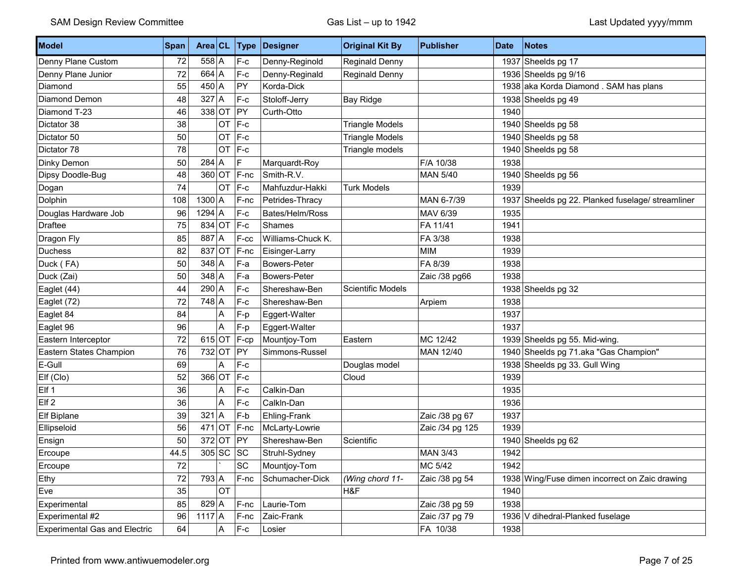| Model                                | Span | Area CL      |                         | Type    | Designer            | <b>Original Kit By</b>   | <b>Publisher</b> | <b>Date</b> | Notes                                             |
|--------------------------------------|------|--------------|-------------------------|---------|---------------------|--------------------------|------------------|-------------|---------------------------------------------------|
| Denny Plane Custom                   | 72   | $558$ A      |                         | $F-c$   | Denny-Reginold      | Reginald Denny           |                  |             | 1937 Sheelds pg 17                                |
| Denny Plane Junior                   | 72   | $664$ A      |                         | $F-c$   | Denny-Reginald      | Reginald Denny           |                  |             | 1936 Sheelds pg 9/16                              |
| Diamond                              | 55   | $450 \mid A$ |                         | PY      | Korda-Dick          |                          |                  |             | 1938 aka Korda Diamond . SAM has plans            |
| Diamond Demon                        | 48   | $327$ A      |                         | $F-c$   | Stoloff-Jerry       | <b>Bay Ridge</b>         |                  |             | 1938 Sheelds pg 49                                |
| Diamond T-23                         | 46   | 338 OT       |                         | PY      | Curth-Otto          |                          |                  | 1940        |                                                   |
| Dictator 38                          | 38   |              | OT                      | $F-c$   |                     | <b>Triangle Models</b>   |                  |             | 1940 Sheelds pg 58                                |
| Dictator 50                          | 50   |              | OT                      | $F-c$   |                     | <b>Triangle Models</b>   |                  |             | 1940 Sheelds pg 58                                |
| Dictator 78                          | 78   |              |                         | OT F-c  |                     | Triangle models          |                  |             | 1940 Sheelds pg 58                                |
| Dinky Demon                          | 50   | 284          | A                       | F       | Marquardt-Roy       |                          | F/A 10/38        | 1938        |                                                   |
| Dipsy Doodle-Bug                     | 48   | 360 OT       |                         | F-nc    | Smith-R.V.          |                          | <b>MAN 5/40</b>  |             | 1940 Sheelds pg 56                                |
| Dogan                                | 74   |              | <b>OT</b>               | $ F-c $ | Mahfuzdur-Hakki     | <b>Turk Models</b>       |                  | 1939        |                                                   |
| Dolphin                              | 108  | $1300$ A     |                         | $F-nc$  | Petrides-Thracy     |                          | MAN 6-7/39       |             | 1937 Sheelds pg 22. Planked fuselage/ streamliner |
| Douglas Hardware Job                 | 96   | $1294$ A     |                         | F-c     | Bates/Helm/Ross     |                          | MAV 6/39         | 1935        |                                                   |
| <b>Draftee</b>                       | 75   | 834 OT       |                         | $F-c$   | Shames              |                          | FA 11/41         | 1941        |                                                   |
| Dragon Fly                           | 85   | $887$ A      |                         | F-cc    | Williams-Chuck K.   |                          | FA 3/38          | 1938        |                                                   |
| <b>Duchess</b>                       | 82   | 837 OT       |                         | F-nc    | Eisinger-Larry      |                          | <b>MIM</b>       | 1939        |                                                   |
| Duck (FA)                            | 50   | $348$ A      |                         | F-a     | <b>Bowers-Peter</b> |                          | FA 8/39          | 1938        |                                                   |
| Duck (Zai)                           | 50   | $348$ A      |                         | F-a     | <b>Bowers-Peter</b> |                          | Zaic /38 pg66    | 1938        |                                                   |
| Eaglet (44)                          | 44   | $290$ A      |                         | $F-c$   | Shereshaw-Ben       | <b>Scientific Models</b> |                  |             | 1938 Sheelds pg 32                                |
| Eaglet (72)                          | 72   | $748$ A      |                         | $F-c$   | Shereshaw-Ben       |                          | Arpiem           | 1938        |                                                   |
| Eaglet 84                            | 84   |              | Α                       | F-p     | Eggert-Walter       |                          |                  | 1937        |                                                   |
| Eaglet 96                            | 96   |              | $\overline{\mathsf{A}}$ | F-p     | Eggert-Walter       |                          |                  | 1937        |                                                   |
| Eastern Interceptor                  | 72   | $615$ OT     |                         | F-cp    | Mountjoy-Tom        | Eastern                  | MC 12/42         |             | 1939 Sheelds pg 55. Mid-wing.                     |
| Eastern States Champion              | 76   | $732$ OT     |                         | PY      | Simmons-Russel      |                          | MAN 12/40        |             | 1940 Sheelds pg 71.aka "Gas Champion"             |
| E-Gull                               | 69   |              | A                       | $F-c$   |                     | Douglas model            |                  |             | 1938 Sheelds pg 33. Gull Wing                     |
| Elf (Clo)                            | 52   | $366$ OT     |                         | $F-c$   |                     | Cloud                    |                  | 1939        |                                                   |
| Elf 1                                | 36   |              | Α                       | $F-c$   | Calkin-Dan          |                          |                  | 1935        |                                                   |
| Elf <sub>2</sub>                     | 36   |              | $\overline{\mathsf{A}}$ | $F-c$   | Calkln-Dan          |                          |                  | 1936        |                                                   |
| Elf Biplane                          | 39   | 321          | A                       | F-b     | Ehling-Frank        |                          | Zaic /38 pg 67   | 1937        |                                                   |
| Ellipseloid                          | 56   | $471$ OT     |                         | $F-nc$  | McLarty-Lowrie      |                          | Zaic /34 pg 125  | 1939        |                                                   |
| Ensign                               | 50   | $372$ OT     |                         | PY      | Shereshaw-Ben       | Scientific               |                  |             | 1940 Sheelds pg 62                                |
| Ercoupe                              | 44.5 | $305$ SC     |                         | SC      | Struhl-Sydney       |                          | <b>MAN 3/43</b>  | 1942        |                                                   |
| Ercoupe                              | 72   |              |                         | SC      | Mountjoy-Tom        |                          | MC 5/42          | 1942        |                                                   |
| Ethy                                 | 72   | $793$ A      |                         | F-nc    | Schumacher-Dick     | (Wing chord 11-          | Zaic /38 pg 54   |             | 1938 Wing/Fuse dimen incorrect on Zaic drawing    |
| Eve                                  | 35   |              | OT                      |         |                     | H&F                      |                  | 1940        |                                                   |
| Experimental                         | 85   | $829$ A      |                         | $F-nc$  | Laurie-Tom          |                          | Zaic /38 pg 59   | 1938        |                                                   |
| Experimental #2                      | 96   | $1117$ A     |                         | F-nc    | Zaic-Frank          |                          | Zaic /37 pg 79   |             | 1936 V dihedral-Planked fuselage                  |
| <b>Experimental Gas and Electric</b> | 64   |              | A                       | $F-c$   | Losier              |                          | FA 10/38         | 1938        |                                                   |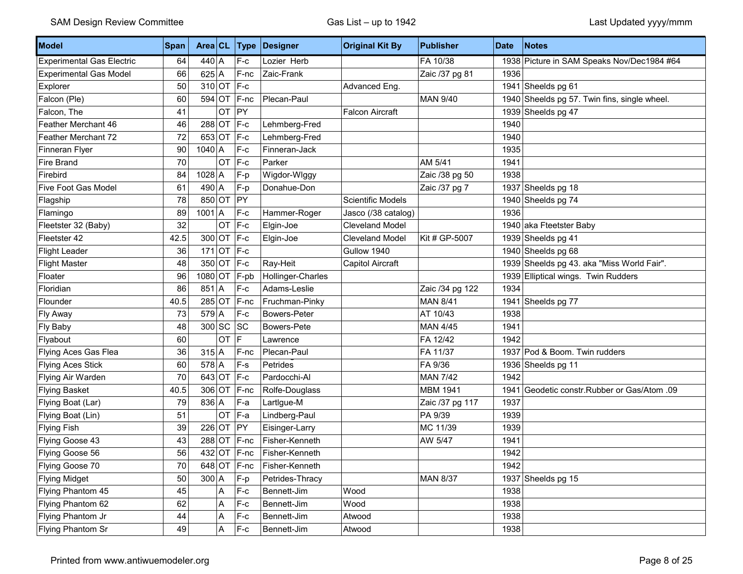| Model                            | Span |               |               | Area $CL$ Type | Designer            | <b>Original Kit By</b>   | <b>Publisher</b> | <b>Date</b> | <b>Notes</b>                                 |
|----------------------------------|------|---------------|---------------|----------------|---------------------|--------------------------|------------------|-------------|----------------------------------------------|
| <b>Experimental Gas Electric</b> | 64   | $440 \vert A$ |               | ∣F-c           | Lozier Herb         |                          | FA 10/38         |             | 1938 Picture in SAM Speaks Nov/Dec1984 #64   |
| <b>Experimental Gas Model</b>    | 66   | $625$ A       |               | $F-nc$         | Zaic-Frank          |                          | Zaic /37 pg 81   | 1936        |                                              |
| Explorer                         | 50   |               | $310$ OT F-c  |                |                     | Advanced Eng.            |                  |             | 1941 Sheelds pg 61                           |
| Falcon (Ple)                     | 60   |               |               | $594$ OT F-nc  | Plecan-Paul         |                          | <b>MAN 9/40</b>  |             | 1940 Sheelds pg 57. Twin fins, single wheel. |
| Falcon, The                      | 41   |               | <b>OT</b>     | <b>PY</b>      |                     | <b>Falcon Aircraft</b>   |                  |             | 1939 Sheelds pg 47                           |
| Feather Merchant 46              | 46   |               | $288$ OT F-c  |                | Lehmberg-Fred       |                          |                  | 1940        |                                              |
| Feather Merchant 72              | 72   |               | 653 OT F-c    |                | Lehmberg-Fred       |                          |                  | 1940        |                                              |
| Finneran Flyer                   | 90   | $1040$ A      |               | $F-c$          | Finneran-Jack       |                          |                  | 1935        |                                              |
| Fire Brand                       | 70   |               | $OT$ $F-c$    |                | Parker              |                          | AM 5/41          | 1941        |                                              |
| Firebird                         | 84   | $1028$ A      |               | F-p            | Wigdor-Wlggy        |                          | Zaic /38 pg 50   | 1938        |                                              |
| Five Foot Gas Model              | 61   | $490 \mid A$  |               | $F-p$          | Donahue-Don         |                          | Zaic /37 pg 7    |             | 1937 Sheelds pg 18                           |
| Flagship                         | 78   |               | 850 OT PY     |                |                     | <b>Scientific Models</b> |                  |             | 1940 Sheelds pg 74                           |
| Flamingo                         | 89   | $1001$ A      |               | $F-c$          | Hammer-Roger        | Jasco (/38 catalog)      |                  | 1936        |                                              |
| Fleetster 32 (Baby)              | 32   |               | <b>OT</b>     | $ F-c$         | Elgin-Joe           | <b>Cleveland Model</b>   |                  |             | 1940 aka Fteetster Baby                      |
| Fleetster 42                     | 42.5 |               | 300 OT F-c    |                | Elgin-Joe           | Cleveland Model          | Kit # GP-5007    |             | 1939 Sheelds pg 41                           |
| <b>Flight Leader</b>             | 36   |               | 171 OT $ F-c$ |                |                     | Gullow 1940              |                  |             | 1940 Sheelds pg 68                           |
| <b>Flight Master</b>             | 48   |               | 350 OT F-c    |                | Ray-Heit            | Capitol Aircraft         |                  |             | 1939 Sheelds pg 43. aka "Miss World Fair".   |
| Floater                          | 96   |               |               | $1080$ OT F-pb | Hollinger-Charles   |                          |                  |             | 1939 Elliptical wings. Twin Rudders          |
| Floridian                        | 86   | $851$ A       |               | $F-c$          | Adams-Leslie        |                          | Zaic /34 pg 122  | 1934        |                                              |
| Flounder                         | 40.5 |               |               | $285$ OT F-nc  | Fruchman-Pinky      |                          | <b>MAN 8/41</b>  | 1941        | Sheelds pg 77                                |
| Fly Away                         | 73   | $579$ A       |               | $F-c$          | <b>Bowers-Peter</b> |                          | AT 10/43         | 1938        |                                              |
| Fly Baby                         | 48   |               | $300$ SC SC   |                | Bowers-Pete         |                          | <b>MAN 4/45</b>  | 1941        |                                              |
| Flyabout                         | 60   |               | OT            | IF.            | Lawrence            |                          | FA 12/42         | 1942        |                                              |
| Flying Aces Gas Flea             | 36   | $315$ A       |               | $F-nc$         | Plecan-Paul         |                          | FA 11/37         |             | 1937 Pod & Boom. Twin rudders                |
| <b>Flying Aces Stick</b>         | 60   | $578$ A       |               | $F-s$          | Petrides            |                          | FA 9/36          |             | 1936 Sheelds pg 11                           |
| Flying Air Warden                | 70   | $643$ OT      |               | $ F-c$         | Pardocchi-Al        |                          | <b>MAN 7/42</b>  | 1942        |                                              |
| <b>Flying Basket</b>             | 40.5 |               |               | 306 OT F-nc    | Rolfe-Douglass      |                          | <b>MBM 1941</b>  | 1941        | Geodetic constr.Rubber or Gas/Atom .09       |
| Flying Boat (Lar)                | 79   | $836$ A       |               | F-a            | LartIgue-M          |                          | Zaic /37 pg 117  | 1937        |                                              |
| Flying Boat (Lin)                | 51   |               | $OT$  F-a     |                | Lindberg-Paul       |                          | PA 9/39          | 1939        |                                              |
| <b>Flying Fish</b>               | 39   |               | $226$ OT PY   |                | Eisinger-Larry      |                          | MC 11/39         | 1939        |                                              |
| Flying Goose 43                  | 43   |               |               | $288$ OT F-nc  | Fisher-Kenneth      |                          | AW 5/47          | 1941        |                                              |
| Flying Goose 56                  | 56   |               |               | $432$ OT F-nc  | Fisher-Kenneth      |                          |                  | 1942        |                                              |
| Flying Goose 70                  | 70   |               |               | $648$ OT F-nc  | Fisher-Kenneth      |                          |                  | 1942        |                                              |
| <b>Flying Midget</b>             | 50   | $300 \mid A$  |               | F-p            | Petrides-Thracy     |                          | <b>MAN 8/37</b>  |             | 1937 Sheelds pg 15                           |
| Flying Phantom 45                | 45   |               | Α             | $F-c$          | Bennett-Jim         | Wood                     |                  | 1938        |                                              |
| Flying Phantom 62                | 62   |               | Α             | F-c            | Bennett-Jim         | Wood                     |                  | 1938        |                                              |
| Flying Phantom Jr                | 44   |               | Α             | F-c            | Bennett-Jim         | Atwood                   |                  | 1938        |                                              |
| Flying Phantom Sr                | 49   |               | Α             | $F-c$          | Bennett-Jim         | Atwood                   |                  | 1938        |                                              |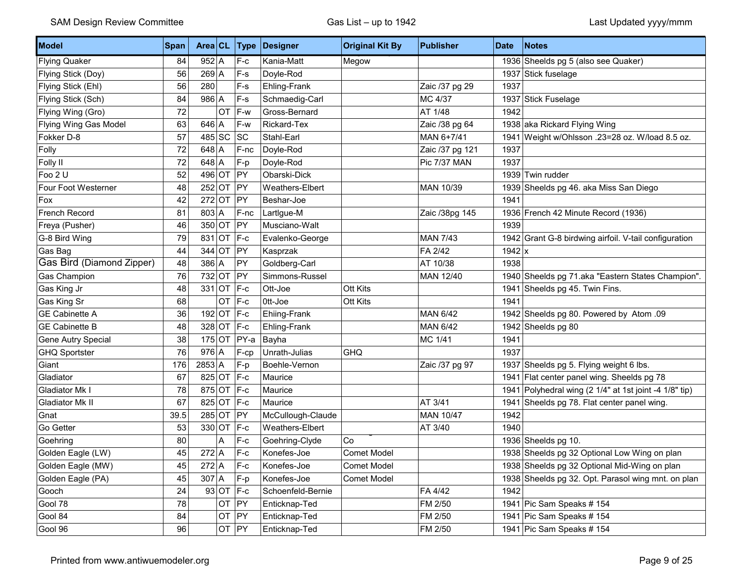| Model                     | Span |          |              | Area CL Type | Designer          | <b>Original Kit By</b> | <b>Publisher</b> | <b>Date</b> | <b>Notes</b>                                          |
|---------------------------|------|----------|--------------|--------------|-------------------|------------------------|------------------|-------------|-------------------------------------------------------|
| <b>Flying Quaker</b>      | 84   | $952$ A  |              | $F-c$        | Kania-Matt        | Megow                  |                  |             | 1936 Sheelds pg 5 (also see Quaker)                   |
| Flying Stick (Doy)        | 56   | 269 A    |              | $F-S$        | Doyle-Rod         |                        |                  |             | 1937 Stick fuselage                                   |
| Flying Stick (Ehl)        | 56   | 280      |              | $F-S$        | Ehling-Frank      |                        | Zaic /37 pg 29   | 1937        |                                                       |
| Flying Stick (Sch)        | 84   | $986$ A  |              | $F-S$        | Schmaedig-Carl    |                        | MC 4/37          |             | 1937 Stick Fuselage                                   |
| Flying Wing (Gro)         | 72   |          | <b>OT</b>    | F-w          | Gross-Bernard     |                        | AT 1/48          | 1942        |                                                       |
| Flying Wing Gas Model     | 63   | $646$ A  |              | F-w          | Rickard-Tex       |                        | Zaic /38 pg 64   |             | 1938 aka Rickard Flying Wing                          |
| Fokker D-8                | 57   | 485 SC   |              | SC           | Stahl-Earl        |                        | MAN 6+7/41       | 1941        | Weight w/Ohlsson .23=28 oz. W/load 8.5 oz.            |
| Folly                     | 72   | $648$ A  |              | $F-nc$       | Doyle-Rod         |                        | Zaic /37 pg 121  | 1937        |                                                       |
| Folly II                  | 72   | $648$ A  |              | F-p          | Doyle-Rod         |                        | Pic 7/37 MAN     | 1937        |                                                       |
| Foo 2 U                   | 52   | 496 OT   |              | PY           | Obarski-Dick      |                        |                  |             | 1939 Twin rudder                                      |
| Four Foot Westerner       | 48   | $252$ OT |              | $ $ PY       | Weathers-Elbert   |                        | MAN 10/39        |             | 1939 Sheelds pg 46. aka Miss San Diego                |
| Fox                       | 42   | $272$ OT |              | PY           | Beshar-Joe        |                        |                  | 1941        |                                                       |
| French Record             | 81   | 803 A    |              | F-nc         | LartIgue-M        |                        | Zaic /38pg 145   |             | 1936 French 42 Minute Record (1936)                   |
| Freya (Pusher)            | 46   | $350$ OT |              | PY           | Musciano-Walt     |                        |                  | 1939        |                                                       |
| G-8 Bird Wing             | 79   |          | 831 OT F-c   |              | Evalenko-George   |                        | <b>MAN 7/43</b>  |             | 1942 Grant G-8 birdwing airfoil. V-tail configuration |
| Gas Bag                   | 44   | $344$ OT |              | PY           | Kasprzak          |                        | FA 2/42          | $1942$ x    |                                                       |
| Gas Bird (Diamond Zipper) | 48   | $386$ A  |              | PY           | Goldberg-Carl     |                        | AT 10/38         | 1938        |                                                       |
| Gas Champion              | 76   | $732$ OT |              | PY           | Simmons-Russel    |                        | MAN 12/40        |             | 1940 Sheelds pg 71.aka "Eastern States Champion".     |
| Gas King Jr               | 48   | $331$ OT |              | $ F-c$       | Ott-Joe           | Ott Kits               |                  | 1941        | Sheelds pg 45. Twin Fins.                             |
| Gas King Sr               | 68   |          | OT F-c       |              | Ott-Joe           | Ott Kits               |                  | 1941        |                                                       |
| <b>GE Cabinette A</b>     | 36   |          | 192 OT $F-c$ |              | Ehiing-Frank      |                        | <b>MAN 6/42</b>  |             | 1942 Sheelds pg 80. Powered by Atom .09               |
| <b>GE Cabinette B</b>     | 48   |          | 328 OT F-c   |              | Ehling-Frank      |                        | <b>MAN 6/42</b>  |             | 1942 Sheelds pg 80                                    |
| Gene Autry Special        | 38   | $175$ OT |              | $ PY-a$      | Bayha             |                        | MC 1/41          | 1941        |                                                       |
| <b>GHQ Sportster</b>      | 76   | $976$ A  |              | $F-cp$       | Unrath-Julias     | <b>GHQ</b>             |                  | 1937        |                                                       |
| Giant                     | 176  | $2853$ A |              | F-p          | Boehle-Vernon     |                        | Zaic /37 pg 97   |             | 1937 Sheelds pg 5. Flying weight 6 lbs.               |
| Gladiator                 | 67   |          | 825 OT F-c   |              | Maurice           |                        |                  | 1941        | Flat center panel wing. Sheelds pg 78                 |
| Gladiator Mk I            | 78   |          | 875 OT F-c   |              | Maurice           |                        |                  | 1941        | Polyhedral wing (2 1/4" at 1st joint -4 1/8" tip)     |
| Gladiator Mk II           | 67   |          | 825 OT F-c   |              | Maurice           |                        | AT 3/41          | 1941        | Sheelds pg 78. Flat center panel wing.                |
| Gnat                      | 39.5 |          | $285$ OT PY  |              | McCullough-Claude |                        | MAN 10/47        | 1942        |                                                       |
| Go Getter                 | 53   |          | 330 OT F-c   |              | Weathers-Elbert   |                        | AT 3/40          | 1940        |                                                       |
| Goehring                  | 80   |          | Α            | F-c          | Goehring-Clyde    | Co                     |                  |             | 1936 Sheelds pg 10.                                   |
| Golden Eagle (LW)         | 45   | $272$ A  |              | $F-c$        | Konefes-Joe       | <b>Comet Model</b>     |                  |             | 1938 Sheelds pg 32 Optional Low Wing on plan          |
| Golden Eagle (MW)         | 45   | $272$ A  |              | $ F-c$       | Konefes-Joe       | Comet Model            |                  |             | 1938 Sheelds pg 32 Optional Mid-Wing on plan          |
| Golden Eagle (PA)         | 45   | $307$ A  |              | $F-p$        | Konefes-Joe       | Comet Model            |                  |             | 1938 Sheelds pg 32. Opt. Parasol wing mnt. on plan    |
| Gooch                     | 24   |          | $93$ OT F-c  |              | Schoenfeld-Bernie |                        | FA 4/42          | 1942        |                                                       |
| Gool 78                   | 78   |          | OT PY        |              | Enticknap-Ted     |                        | FM 2/50          |             | 1941 Pic Sam Speaks #154                              |
| Gool 84                   | 84   |          | OT PY        |              | Enticknap-Ted     |                        | FM 2/50          |             | 1941 Pic Sam Speaks #154                              |
| Gool 96                   | 96   |          | $OT$ PY      |              | Enticknap-Ted     |                        | FM 2/50          |             | 1941 Pic Sam Speaks # 154                             |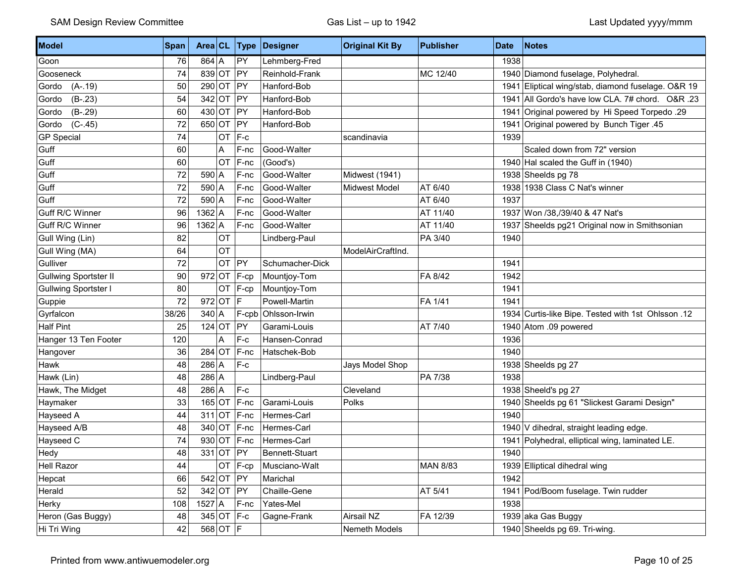| Model                        | Span  | Area CL     |    | Type         | Designer        | <b>Original Kit By</b> | <b>Publisher</b> | <b>Date</b> | <b>Notes</b>                                       |
|------------------------------|-------|-------------|----|--------------|-----------------|------------------------|------------------|-------------|----------------------------------------------------|
| Goon                         | 76    | $864$ A     |    | PY           | Lehmberg-Fred   |                        |                  | 1938        |                                                    |
| Gooseneck                    | 74    | 839 OT      |    | PY           | Reinhold-Frank  |                        | MC 12/40         |             | 1940 Diamond fuselage, Polyhedral.                 |
| Gordo<br>$(A-.19)$           | 50    | $290$ OT    |    | PY           | Hanford-Bob     |                        |                  | 1941        | Eliptical wing/stab, diamond fuselage. O&R 19      |
| $(B-.23)$<br>Gordo           | 54    | $342$ OT    |    | PY           | Hanford-Bob     |                        |                  | 1941        | All Gordo's have low CLA. 7# chord. O&R .23        |
| $(B-.29)$<br>Gordo           | 60    | $430$ OT    |    | PY           | Hanford-Bob     |                        |                  | 1941        | Original powered by Hi Speed Torpedo .29           |
| $(C-.45)$<br>Gordo           | 72    | 650 OT      |    | PY           | Hanford-Bob     |                        |                  | 1941        | Original powered by Bunch Tiger .45                |
| <b>GP Special</b>            | 74    |             | OT | F-c          |                 | scandinavia            |                  | 1939        |                                                    |
| Guff                         | 60    |             | A  | F-nc         | Good-Walter     |                        |                  |             | Scaled down from 72" version                       |
| Guff                         | 60    |             | OT | F-nc         | (Good's)        |                        |                  |             | 1940 Hal scaled the Guff in (1940)                 |
| Guff                         | 72    | 590         | ۱A | F-nc         | Good-Walter     | Midwest (1941)         |                  |             | 1938 Sheelds pg 78                                 |
| Guff                         | 72    | $590$ A     |    | F-nc         | Good-Walter     | <b>Midwest Model</b>   | AT 6/40          |             | 1938 1938 Class C Nat's winner                     |
| Guff                         | 72    | $590$ A     |    | F-nc         | Good-Walter     |                        | AT 6/40          | 1937        |                                                    |
| Guff R/C Winner              | 96    | $1362$ A    |    | F-nc         | Good-Walter     |                        | AT 11/40         |             | 1937 Won /38,/39/40 & 47 Nat's                     |
| Guff R/C Winner              | 96    | $1362$ A    |    | F-nc         | Good-Walter     |                        | AT 11/40         |             | 1937 Sheelds pg21 Original now in Smithsonian      |
| Gull Wing (Lin)              | 82    |             | OT |              | Lindberg-Paul   |                        | PA 3/40          | 1940        |                                                    |
| Gull Wing (MA)               | 64    |             | OT |              |                 | ModelAirCraftInd.      |                  |             |                                                    |
| Gulliver                     | 72    |             | OT | PY           | Schumacher-Dick |                        |                  | 1941        |                                                    |
| <b>Gullwing Sportster II</b> | 90    | $972$ OT    |    | $F-cp$       | Mountjoy-Tom    |                        | FA 8/42          | 1942        |                                                    |
| Gullwing Sportster I         | 80    |             | OT | F-cp         | Mountjoy-Tom    |                        |                  | 1941        |                                                    |
| Guppie                       | 72    | $972$ OT F  |    |              | Powell-Martin   |                        | FA 1/41          | 1941        |                                                    |
| Gyrfalcon                    | 38/26 | $340$ A     |    | F-cpb        | Ohlsson-Irwin   |                        |                  |             | 12. 1934 Curtis-like Bipe. Tested with 1st Ohlsson |
| <b>Half Pint</b>             | 25    | $124$ OT    |    | PY           | Garami-Louis    |                        | AT 7/40          |             | 1940 Atom .09 powered                              |
| Hanger 13 Ten Footer         | 120   |             | A  | F-c          | Hansen-Conrad   |                        |                  | 1936        |                                                    |
| Hangover                     | 36    | $284$ OT    |    | F-nc         | Hatschek-Bob    |                        |                  | 1940        |                                                    |
| Hawk                         | 48    | $286$ A     |    | $F-c$        |                 | Jays Model Shop        |                  | 1938        | Sheelds pg 27                                      |
| Hawk (Lin)                   | 48    | $286$ A     |    |              | Lindberg-Paul   |                        | PA 7/38          | 1938        |                                                    |
| Hawk, The Midget             | 48    | $286$ A     |    | $F-c$        |                 | Cleveland              |                  |             | 1938 Sheeld's pg 27                                |
| Haymaker                     | 33    | $165$ OT    |    | F-nc         | Garami-Louis    | Polks                  |                  |             | 1940 Sheelds pg 61 "Slickest Garami Design"        |
| Hayseed A                    | 44    | $311$ OT    |    | $F-nc$       | Hermes-Carl     |                        |                  | 1940        |                                                    |
| Hayseed A/B                  | 48    | $340$ OT    |    | F-nc         | Hermes-Carl     |                        |                  |             | 1940 V dihedral, straight leading edge.            |
| Hayseed C                    | 74    | $930$ OT    |    | $F-nc$       | Hermes-Carl     |                        |                  |             | 1941 Polyhedral, elliptical wing, laminated LE.    |
| Hedy                         | 48    | $331$ OT    |    | PY           | Bennett-Stuart  |                        |                  | 1940        |                                                    |
| <b>Hell Razor</b>            | 44    |             |    | $OT$ $F-cp$  | Musciano-Walt   |                        | <b>MAN 8/83</b>  |             | 1939 Elliptical dihedral wing                      |
| Hepcat                       | 66    | $542$ OT PY |    |              | Marichal        |                        |                  | 1942        |                                                    |
| Herald                       | 52    | $342$ OT PY |    |              | Chaille-Gene    |                        | AT 5/41          |             | 1941 Pod/Boom fuselage. Twin rudder                |
| Herky                        | 108   | $1527$ A    |    | F-nc         | Yates-Mel       |                        |                  | 1938        |                                                    |
| Heron (Gas Buggy)            | 48    |             |    | $345$ OT F-c | Gagne-Frank     | Airsail NZ             | FA 12/39         |             | 1939 aka Gas Buggy                                 |
| Hi Tri Wing                  | 42    | $568$ OT F  |    |              |                 | Nemeth Models          |                  |             | 1940 Sheelds pg 69. Tri-wing.                      |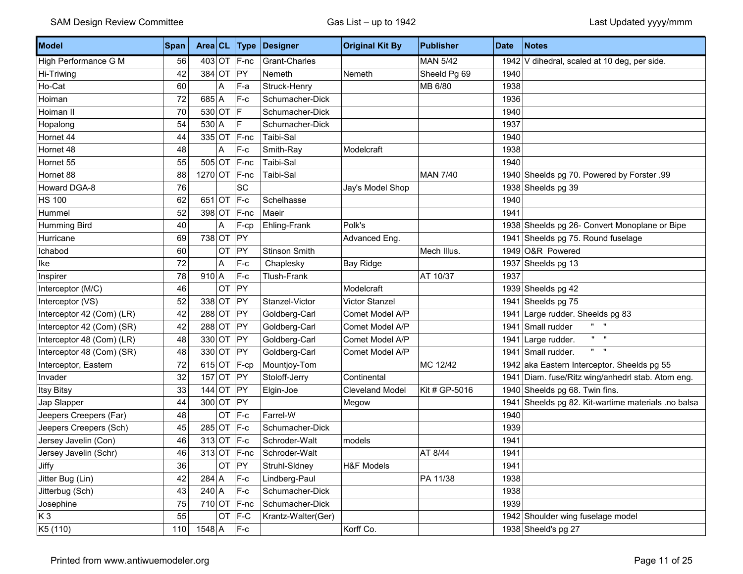| Model                     | <b>Span</b> | Area CL      |           | Type           | Designer           | <b>Original Kit By</b> | <b>Publisher</b> | <b>Date</b> | <b>Notes</b>                                        |
|---------------------------|-------------|--------------|-----------|----------------|--------------------|------------------------|------------------|-------------|-----------------------------------------------------|
| High Performance G M      | 56          |              |           | $403$ OT F-nc  | Grant-Charles      |                        | <b>MAN 5/42</b>  |             | 1942 V dihedral, scaled at 10 deg, per side.        |
| Hi-Triwing                | 42          | $384$ OT     |           | PY             | Nemeth             | Nemeth                 | Sheeld Pg 69     | 1940        |                                                     |
| Ho-Cat                    | 60          |              | Α         | F-a            | Struck-Henry       |                        | MB 6/80          | 1938        |                                                     |
| Hoiman                    | 72          | $685$ A      |           | $F-c$          | Schumacher-Dick    |                        |                  | 1936        |                                                     |
| Hoiman II                 | 70          | $530$ OT     |           | lF.            | Schumacher-Dick    |                        |                  | 1940        |                                                     |
| Hopalong                  | 54          | $530$ A      |           | $\mathsf F$    | Schumacher-Dick    |                        |                  | 1937        |                                                     |
| Hornet 44                 | 44          | $335$ OT     |           | F-nc           | Taibi-Sal          |                        |                  | 1940        |                                                     |
| Hornet 48                 | 48          |              | Α         | $F-c$          | Smith-Ray          | Modelcraft             |                  | 1938        |                                                     |
| Hornet 55                 | 55          |              |           | $505$ OT F-nc  | Taibi-Sal          |                        |                  | 1940        |                                                     |
| Hornet 88                 | 88          | $1270$ OT    |           | $F-nc$         | Taibi-Sal          |                        | <b>MAN 7/40</b>  |             | 1940 Sheelds pg 70. Powered by Forster .99          |
| Howard DGA-8              | 76          |              |           | SC             |                    | Jay's Model Shop       |                  |             | 1938 Sheelds pg 39                                  |
| <b>HS 100</b>             | 62          | 651 OT $F-c$ |           |                | Schelhasse         |                        |                  | 1940        |                                                     |
| Hummel                    | 52          | $398$ OT     |           | F-nc           | Maeir              |                        |                  | 1941        |                                                     |
| Humming Bird              | 40          |              | Α         | F-cp           | Ehling-Frank       | Polk's                 |                  |             | 1938 Sheelds pg 26- Convert Monoplane or Bipe       |
| Hurricane                 | 69          | $738$ OT     |           | PY             |                    | Advanced Eng.          |                  |             | 1941 Sheelds pg 75. Round fuselage                  |
| Ichabod                   | 60          |              | <b>OT</b> | PY             | Stinson Smith      |                        | Mech Illus.      |             | 1949 O&R Powered                                    |
| Ike                       | 72          |              | Α         | $F-c$          | Chaplesky          | <b>Bay Ridge</b>       |                  |             | 1937 Sheelds pg 13                                  |
| Inspirer                  | 78          | $910$ A      |           | F-c            | <b>Tlush-Frank</b> |                        | AT 10/37         | 1937        |                                                     |
| Interceptor (M/C)         | 46          |              | OT        | PY             |                    | Modelcraft             |                  |             | 1939 Sheelds pg 42                                  |
| Interceptor (VS)          | 52          | $338$ OT PY  |           |                | Stanzel-Victor     | Victor Stanzel         |                  |             | 1941 Sheelds pg 75                                  |
| Interceptor 42 (Com) (LR) | 42          | $288$ OT     |           | $ $ PY         | Goldberg-Carl      | Comet Model A/P        |                  |             | 1941 Large rudder. Sheelds pg 83                    |
| Interceptor 42 (Com) (SR) | 42          | 288 OT       |           | PY             | Goldberg-Carl      | Comet Model A/P        |                  |             | 1941 Small rudder                                   |
| Interceptor 48 (Com) (LR) | 48          | $330$ OT     |           | $ $ PY         | Goldberg-Carl      | Comet Model A/P        |                  |             | $\mathbf{u} = \mathbf{u}$<br>1941 Large rudder.     |
| Interceptor 48 (Com) (SR) | 48          | $330$ OT     |           | PY             | Goldberg-Carl      | Comet Model A/P        |                  |             | $\mathbf{u} = \mathbf{u}$<br>1941 Small rudder.     |
| Interceptor, Eastern      | 72          |              |           | 615 OT $ F-cp$ | Mountjoy-Tom       |                        | MC 12/42         |             | 1942 aka Eastern Interceptor. Sheelds pg 55         |
| Invader                   | 32          | $157$ OT PY  |           |                | Stoloff-Jerry      | Continental            |                  |             | 1941 Diam. fuse/Ritz wing/anhedrl stab. Atom eng.   |
| <b>Itsy Bitsy</b>         | 33          | $144$ OT     |           | $ $ PY         | Elgin-Joe          | <b>Cleveland Model</b> | Kit # GP-5016    |             | 1940 Sheelds pg 68. Twin fins.                      |
| Jap Slapper               | 44          | $300$ OT     |           | PY             |                    | Megow                  |                  |             | 1941 Sheelds pg 82. Kit-wartime materials .no balsa |
| Jeepers Creepers (Far)    | 48          |              | <b>OT</b> | $F-c$          | Farrel-W           |                        |                  | 1940        |                                                     |
| Jeepers Creepers (Sch)    | 45          | $285$ OT F-c |           |                | Schumacher-Dick    |                        |                  | 1939        |                                                     |
| Jersey Javelin (Con)      | 46          | $313$ OT     |           | $ F-c$         | Schroder-Walt      | models                 |                  | 1941        |                                                     |
| Jersey Javelin (Schr)     | 46          |              |           | $313$ OT F-nc  | Schroder-Walt      |                        | AT 8/44          | 1941        |                                                     |
| Jiffy                     | 36          |              | <b>OT</b> | PY             | Struhl-Sldney      | <b>H&amp;F Models</b>  |                  | 1941        |                                                     |
| Jitter Bug (Lin)          | 42          | $284 \mid A$ |           | $F-c$          | Lindberg-Paul      |                        | PA 11/38         | 1938        |                                                     |
| Jitterbug (Sch)           | 43          | $240 \mid A$ |           | $F-c$          | Schumacher-Dick    |                        |                  | 1938        |                                                     |
| Josephine                 | 75          |              |           | $710$ OT F-nc  | Schumacher-Dick    |                        |                  | 1939        |                                                     |
| $K_3$                     | 55          |              |           | OT F-C         | Krantz-Walter(Ger) |                        |                  |             | 1942 Shoulder wing fuselage model                   |
| K5 (110)                  | 110         | $1548$ A     |           | $F-c$          |                    | Korff Co.              |                  |             | 1938 Sheeld's pg 27                                 |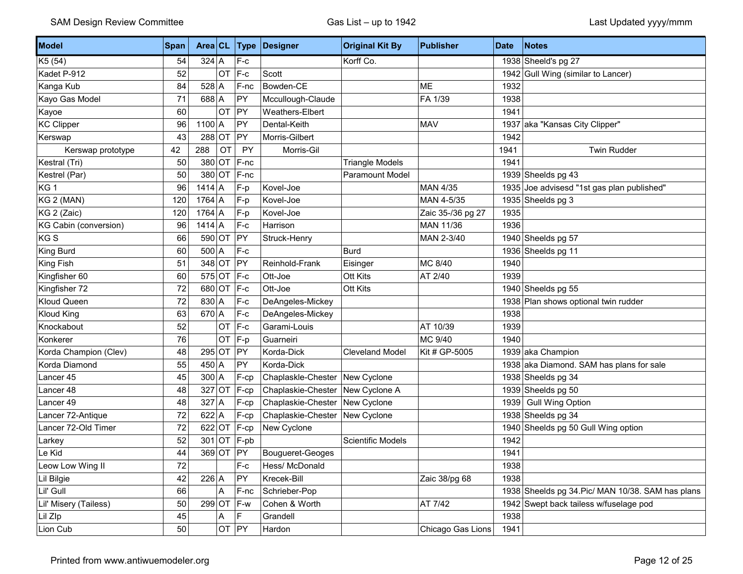| Model                        | Span | Area $CL$    |           |            | <b>Type Designer</b>               | <b>Original Kit By</b> | <b>Publisher</b>  | <b>Date</b> | <b>Notes</b>                                      |
|------------------------------|------|--------------|-----------|------------|------------------------------------|------------------------|-------------------|-------------|---------------------------------------------------|
| K5 (54)                      | 54   | $324$ A      |           | $F-c$      |                                    | Korff Co.              |                   |             | 1938 Sheeld's pg 27                               |
| Kadet P-912                  | 52   |              | OT        | $F-c$      | Scott                              |                        |                   |             | 1942 Gull Wing (similar to Lancer)                |
| Kanga Kub                    | 84   | $528$ A      |           | F-nc       | Bowden-CE                          |                        | <b>ME</b>         | 1932        |                                                   |
| Kayo Gas Model               | 71   | $688$ A      |           | PY         | Mccullough-Claude                  |                        | FA 1/39           | 1938        |                                                   |
| Kayoe                        | 60   |              | OT        | PY         | Weathers-Elbert                    |                        |                   | 1941        |                                                   |
| <b>KC Clipper</b>            | 96   | $1100$ A     |           | PY         | Dental-Keith                       |                        | <b>MAV</b>        |             | 1937 aka "Kansas City Clipper"                    |
| Kerswap                      | 43   | $288$ OT     |           | PY         | Morris-Gilbert                     |                        |                   | 1942        |                                                   |
| Kerswap prototype            | 42   | 288          | OT        | PY         | Morris-Gil                         |                        |                   | 1941        | <b>Twin Rudder</b>                                |
| Kestral (Tri)                | 50   |              | 380 OT    | F-nc       |                                    | <b>Triangle Models</b> |                   | 1941        |                                                   |
| Kestrel (Par)                | 50   | $380$ OT     |           | F-nc       |                                    | Paramount Model        |                   |             | 1939 Sheelds pg 43                                |
| KG <sub>1</sub>              | 96   | $1414$ A     |           | F-p        | Kovel-Joe                          |                        | <b>MAN 4/35</b>   |             | 1935 Joe advisesd "1st gas plan published"        |
| KG 2 (MAN)                   | 120  | $1764$ A     |           | F-p        | Kovel-Joe                          |                        | MAN 4-5/35        |             | 1935 Sheelds pg 3                                 |
| KG 2 (Zaic)                  | 120  | $1764$ A     |           | F-p        | Kovel-Joe                          |                        | Zaic 35-/36 pg 27 | 1935        |                                                   |
| <b>KG Cabin (conversion)</b> | 96   | $1414$ A     |           | $F-c$      | Harrison                           |                        | MAN 11/36         | 1936        |                                                   |
| KG S                         | 66   | 590 OT       |           | PY         | Struck-Henry                       |                        | MAN 2-3/40        |             | 1940 Sheelds pg 57                                |
| King Burd                    | 60   | $500 \mid A$ |           | $F-c$      |                                    | <b>Burd</b>            |                   |             | 1936 Sheelds pg 11                                |
| King Fish                    | 51   | $348$ OT     |           | PY         | Reinhold-Frank                     | Eisinger               | MC 8/40           | 1940        |                                                   |
| Kingfisher 60                | 60   | $575$ OT     |           | $F-c$      | Ott-Joe                            | Ott Kits               | AT 2/40           | 1939        |                                                   |
| Kingfisher 72                | 72   | $680$ OT     |           | $F-c$      | Ott-Joe                            | Ott Kits               |                   |             | 1940 Sheelds pg 55                                |
| Kloud Queen                  | 72   | $830 \mid A$ |           | $F-c$      | DeAngeles-Mickey                   |                        |                   |             | 1938 Plan shows optional twin rudder              |
| <b>Kloud King</b>            | 63   | $670$ A      |           | $F-c$      | DeAngeles-Mickey                   |                        |                   | 1938        |                                                   |
| Knockabout                   | 52   |              | OT        | $F-c$      | Garami-Louis                       |                        | AT 10/39          | 1939        |                                                   |
| Konkerer                     | 76   |              | OT        | F-p        | Guarneiri                          |                        | MC 9/40           | 1940        |                                                   |
| Korda Champion (Clev)        | 48   |              | 295 OT PY |            | Korda-Dick                         | <b>Cleveland Model</b> | Kit # GP-5005     |             | 1939 aka Champion                                 |
| Korda Diamond                | 55   | $450 \mid A$ |           | PY         | Korda-Dick                         |                        |                   |             | 1938 aka Diamond. SAM has plans for sale          |
| Lancer 45                    | 45   | $300$ A      |           | F-cp       | Chaplaskle-Chester   New Cyclone   |                        |                   |             | 1938 Sheelds pg 34                                |
| Lancer 48                    | 48   | $327$ OT     |           | F-cp       | Chaplaskie-Chester   New Cyclone A |                        |                   |             | 1939 Sheelds pg 50                                |
| Lancer 49                    | 48   | $327$ A      |           | F-cp       | Chaplaskie-Chester   New Cyclone   |                        |                   |             | 1939 Gull Wing Option                             |
| Lancer 72-Antique            | 72   | $622$ A      |           | F-cp       | Chaplaskie-Chester                 | New Cyclone            |                   |             | 1938 Sheelds pg 34                                |
| Lancer 72-Old Timer          | 72   | $622$ OT     |           | F-cp       | New Cyclone                        |                        |                   |             | 1940 Sheelds pg 50 Gull Wing option               |
| Larkey                       | 52   | $301$ OT     |           | $F$ -pb    |                                    | Scientific Models      |                   | 1942        |                                                   |
| Le Kid                       | 44   |              | 369 OT PY |            | Bougueret-Geoges                   |                        |                   | 1941        |                                                   |
| Leow Low Wing II             | 72   |              |           | $F-c$      | Hess/ McDonald                     |                        |                   | 1938        |                                                   |
| Lil Bilgie                   | 42   | $226$ A      |           | PY         | Krecek-Bill                        |                        | Zaic 38/pg 68     | 1938        |                                                   |
| Lil' Gull                    | 66   |              | A         | F-nc       | Schrieber-Pop                      |                        |                   |             | 1938 Sheelds pg 34. Pic/ MAN 10/38. SAM has plans |
| Lil' Misery (Tailess)        | 50   |              |           | 299 OT F-w | Cohen & Worth                      |                        | AT 7/42           |             | 1942 Swept back tailess w/fuselage pod            |
| Lil Zlp                      | 45   |              | A         | F.         | Grandell                           |                        |                   | 1938        |                                                   |
| Lion Cub                     | 50   |              | OT PY     |            | Hardon                             |                        | Chicago Gas Lions | 1941        |                                                   |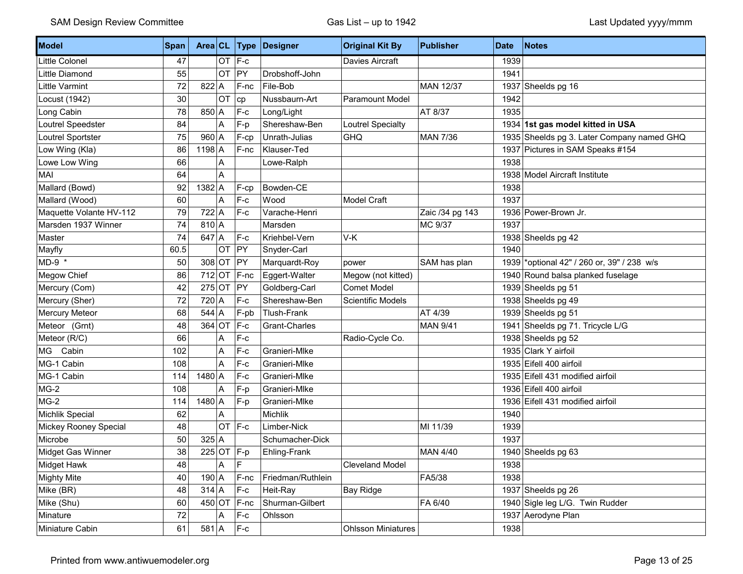| Model                   | <b>Span</b> | Area CL      |           | <b>Type</b>  | Designer           | <b>Original Kit By</b>    | <b>Publisher</b> | <b>Date</b> | <b>Notes</b>                               |
|-------------------------|-------------|--------------|-----------|--------------|--------------------|---------------------------|------------------|-------------|--------------------------------------------|
| Little Colonel          | 47          |              | <b>OT</b> | $F-c$        |                    | Davies Aircraft           |                  | 1939        |                                            |
| Little Diamond          | 55          |              | OT        | PY           | Drobshoff-John     |                           |                  | 1941        |                                            |
| Little Varmint          | 72          | $822$ A      |           | F-nc         | File-Bob           |                           | <b>MAN 12/37</b> |             | 1937 Sheelds pg 16                         |
| Locust (1942)           | 30          |              | OT        | cp           | Nussbaurn-Art      | <b>Paramount Model</b>    |                  | 1942        |                                            |
| Long Cabin              | 78          | $850 \mid A$ |           | $F-c$        | Long/Light         |                           | AT 8/37          | 1935        |                                            |
| Loutrel Speedster       | 84          |              | A         | F-p          | Shereshaw-Ben      | Loutrel Specialty         |                  |             | 1934 1st gas model kitted in USA           |
| Loutrel Sportster       | 75          | $960$ A      |           | F-cp         | Unrath-Julias      | <b>GHQ</b>                | <b>MAN 7/36</b>  |             | 1935 Sheelds pg 3. Later Company named GHQ |
| Low Wing (Kla)          | 86          | $1198$ A     |           | F-nc         | Klauser-Ted        |                           |                  |             | 1937 Pictures in SAM Speaks #154           |
| Lowe Low Wing           | 66          |              | A         |              | Lowe-Ralph         |                           |                  | 1938        |                                            |
| MAI                     | 64          |              | A         |              |                    |                           |                  |             | 1938 Model Aircraft Institute              |
| Mallard (Bowd)          | 92          | $1382$ A     |           | F-cp         | Bowden-CE          |                           |                  | 1938        |                                            |
| Mallard (Wood)          | 60          |              | A         | $F-c$        | Wood               | <b>Model Craft</b>        |                  | 1937        |                                            |
| Maquette Volante HV-112 | 79          | $722$ A      |           | $F-c$        | Varache-Henri      |                           | Zaic /34 pg 143  |             | 1936 Power-Brown Jr.                       |
| Marsden 1937 Winner     | 74          | $810 \mid A$ |           |              | Marsden            |                           | MC 9/37          | 1937        |                                            |
| Master                  | 74          | $647$ A      |           | F-c          | Kriehbel-Vern      | V-K                       |                  |             | 1938 Sheelds pg 42                         |
| Mayfly                  | 60.5        |              | OT        | PY           | Snyder-Carl        |                           |                  | 1940        |                                            |
| MD-9 *                  | 50          | $308$ OT     |           | PY           | Marquardt-Roy      | power                     | SAM has plan     |             | 1939 *optional 42" / 260 or, 39" / 238 w/s |
| Megow Chief             | 86          | $712$ OT     |           | F-nc         | Eggert-Walter      | Megow (not kitted)        |                  |             | 1940 Round balsa planked fuselage          |
| Mercury (Com)           | 42          | $275$ OT     |           | PY           | Goldberg-Carl      | <b>Comet Model</b>        |                  |             | 1939 Sheelds pg 51                         |
| Mercury (Sher)          | 72          | $720$ A      |           | $F-c$        | Shereshaw-Ben      | Scientific Models         |                  |             | 1938 Sheelds pg 49                         |
| Mercury Meteor          | 68          | $544$ A      |           | F-pb         | <b>Tlush-Frank</b> |                           | AT 4/39          |             | 1939 Sheelds pg 51                         |
| Meteor (Grnt)           | 48          | $364$ OT     |           | F-c          | Grant-Charles      |                           | <b>MAN 9/41</b>  |             | 1941 Sheelds pg 71. Tricycle L/G           |
| Meteor (R/C)            | 66          |              | A         | $F-c$        |                    | Radio-Cycle Co.           |                  |             | 1938 Sheelds pg 52                         |
| Cabin<br>MG             | 102         |              | Α         | $F-c$        | Granieri-Mlke      |                           |                  |             | 1935 Clark Y airfoil                       |
| MG-1 Cabin              | 108         |              | A         | $F-c$        | Granieri-Mike      |                           |                  |             | 1935 Eifell 400 airfoil                    |
| MG-1 Cabin              | 114         | $1480$ A     |           | $F-c$        | Granieri-Mlke      |                           |                  |             | 1935 Eifell 431 modified airfoil           |
| $MG-2$                  | 108         |              | A         | F-p          | Granieri-Mlke      |                           |                  |             | 1936 Eifell 400 airfoil                    |
| $MG-2$                  | 114         | $1480$ A     |           | F-p          | Granieri-Mlke      |                           |                  |             | 1936 Eifell 431 modified airfoil           |
| Michlik Special         | 62          |              | Α         |              | Michlik            |                           |                  | 1940        |                                            |
| Mickey Rooney Special   | 48          |              | <b>OT</b> | $ F-c$       | Limber-Nick        |                           | MI 11/39         | 1939        |                                            |
| Microbe                 | 50          | 325 A        |           |              | Schumacher-Dick    |                           |                  | 1937        |                                            |
| Midget Gas Winner       | 38          |              |           | $225$ OT F-p | Ehling-Frank       |                           | <b>MAN 4/40</b>  |             | 1940 Sheelds pg 63                         |
| Midget Hawk             | 48          |              | Α         | F            |                    | <b>Cleveland Model</b>    |                  | 1938        |                                            |
| <b>Mighty Mite</b>      | 40          | $190 \mid A$ |           | $F-nc$       | Friedman/Ruthlein  |                           | FA5/38           | 1938        |                                            |
| Mike (BR)               | 48          | $314$ A      |           | $F-c$        | Heit-Ray           | <b>Bay Ridge</b>          |                  |             | 1937 Sheelds pg 26                         |
| Mike (Shu)              | 60          | $450$ OT     |           | F-nc         | Shurman-Gilbert    |                           | FA 6/40          |             | 1940 Sigle leg L/G. Twin Rudder            |
| Minature                | $72\,$      |              | Α         | $F-c$        | Ohlsson            |                           |                  |             | 1937 Aerodyne Plan                         |
| Miniature Cabin         | 61          | $581$ A      |           | $F-c$        |                    | <b>Ohlsson Miniatures</b> |                  | 1938        |                                            |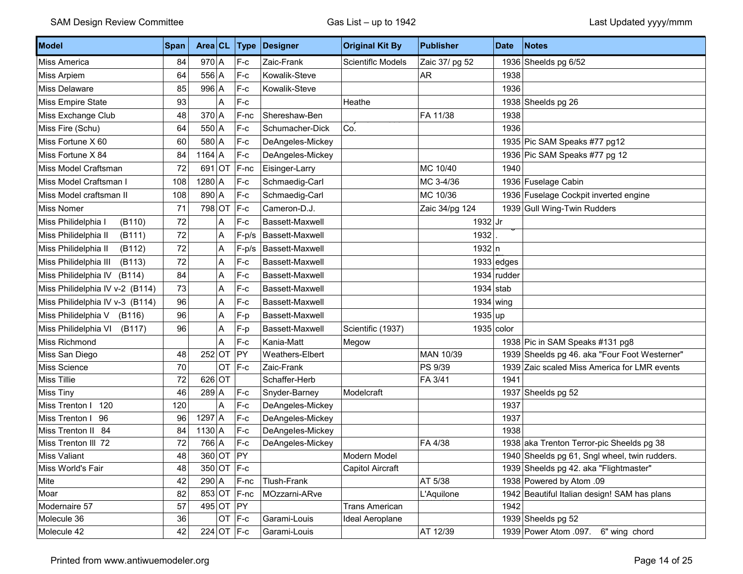| Model                                                                                                                                                                                                 | Span                                                           | Area $CL$                                                     |                                        | <b>Type</b>                                                                  | Designer                                                                                                                 | <b>Original Kit By</b>                                                              | <b>Publisher</b>                             | <b>Date</b>          | <b>Notes</b>                                                                                                                                                                                                                                                                                        |
|-------------------------------------------------------------------------------------------------------------------------------------------------------------------------------------------------------|----------------------------------------------------------------|---------------------------------------------------------------|----------------------------------------|------------------------------------------------------------------------------|--------------------------------------------------------------------------------------------------------------------------|-------------------------------------------------------------------------------------|----------------------------------------------|----------------------|-----------------------------------------------------------------------------------------------------------------------------------------------------------------------------------------------------------------------------------------------------------------------------------------------------|
| Miss America                                                                                                                                                                                          | 84                                                             | $970$ A                                                       |                                        | $F-c$                                                                        | Zaic-Frank                                                                                                               | Scientiflc Models                                                                   | Zaic 37/ pg 52                               |                      | 1936 Sheelds pg 6/52                                                                                                                                                                                                                                                                                |
| Miss Arpiem                                                                                                                                                                                           | 64                                                             | $556$ A                                                       |                                        | $F-c$                                                                        | Kowalik-Steve                                                                                                            |                                                                                     | AR                                           | 1938                 |                                                                                                                                                                                                                                                                                                     |
| Miss Delaware                                                                                                                                                                                         | 85                                                             | $996$ A                                                       |                                        | $F-c$                                                                        | Kowalik-Steve                                                                                                            |                                                                                     |                                              | 1936                 |                                                                                                                                                                                                                                                                                                     |
| Miss Empire State                                                                                                                                                                                     | 93                                                             |                                                               | Α                                      | $F-c$                                                                        |                                                                                                                          | Heathe                                                                              |                                              |                      | 1938 Sheelds pg 26                                                                                                                                                                                                                                                                                  |
| Miss Exchange Club                                                                                                                                                                                    | 48                                                             | $370$ A                                                       |                                        | $F$ -nc                                                                      | Shereshaw-Ben                                                                                                            |                                                                                     | FA 11/38                                     | 1938                 |                                                                                                                                                                                                                                                                                                     |
| Miss Fire (Schu)                                                                                                                                                                                      | 64                                                             | $550$ A                                                       |                                        | $F-c$                                                                        | Schumacher-Dick                                                                                                          | Co.                                                                                 |                                              | 1936                 |                                                                                                                                                                                                                                                                                                     |
| Miss Fortune X 60                                                                                                                                                                                     | 60                                                             | 580 A                                                         |                                        | $F-c$                                                                        | DeAngeles-Mickey                                                                                                         |                                                                                     |                                              |                      | 1935 Pic SAM Speaks #77 pg12                                                                                                                                                                                                                                                                        |
| Miss Fortune X 84                                                                                                                                                                                     | 84                                                             | $1164$ A                                                      |                                        | $F-c$                                                                        | DeAngeles-Mickey                                                                                                         |                                                                                     |                                              |                      | 1936 Pic SAM Speaks #77 pg 12                                                                                                                                                                                                                                                                       |
| Miss Model Craftsman                                                                                                                                                                                  | 72                                                             | $691$ OT                                                      |                                        | F-nc                                                                         | Eisinger-Larry                                                                                                           |                                                                                     | MC 10/40                                     | 1940                 |                                                                                                                                                                                                                                                                                                     |
| Miss Model Craftsman I                                                                                                                                                                                | 108                                                            | $1280$ A                                                      |                                        | $F-c$                                                                        | Schmaedig-Carl                                                                                                           |                                                                                     | MC 3-4/36                                    |                      | 1936 Fuselage Cabin                                                                                                                                                                                                                                                                                 |
| Miss Model craftsman II                                                                                                                                                                               | 108                                                            | $890$ A                                                       |                                        | $F-c$                                                                        | Schmaedig-Carl                                                                                                           |                                                                                     | MC 10/36                                     |                      | 1936 Fuselage Cockpit inverted engine                                                                                                                                                                                                                                                               |
| Miss Nomer                                                                                                                                                                                            | 71                                                             | 798 OT                                                        |                                        | $F-c$                                                                        | Cameron-D.J.                                                                                                             |                                                                                     | Zaic 34/pg 124                               |                      | 1939 Gull Wing-Twin Rudders                                                                                                                                                                                                                                                                         |
| Miss Philidelphia I<br>(B110)                                                                                                                                                                         | 72                                                             |                                                               | Α                                      | $F-c$                                                                        | Bassett-Maxwell                                                                                                          |                                                                                     | $1932$ Jr                                    |                      |                                                                                                                                                                                                                                                                                                     |
| Miss Philidelphia II<br>(B111)                                                                                                                                                                        | 72                                                             |                                                               | Α                                      | $F-p/s$                                                                      | Bassett-Maxwell                                                                                                          |                                                                                     | 1932                                         |                      |                                                                                                                                                                                                                                                                                                     |
| Miss Philidelphia II<br>(B112)                                                                                                                                                                        | 72                                                             |                                                               | A                                      | $F-p/s$                                                                      | Bassett-Maxwell                                                                                                          |                                                                                     | 1932 n                                       |                      |                                                                                                                                                                                                                                                                                                     |
| Miss Philidelphia III<br>(B113)                                                                                                                                                                       | 72                                                             |                                                               | Α                                      | $F-c$                                                                        | Bassett-Maxwell                                                                                                          |                                                                                     |                                              | $1933$ edges         |                                                                                                                                                                                                                                                                                                     |
| Miss Philidelphia IV<br>(B114)                                                                                                                                                                        | 84                                                             |                                                               | Α                                      | $F-c$                                                                        | Bassett-Maxwell                                                                                                          |                                                                                     |                                              | $1934$ rudder        |                                                                                                                                                                                                                                                                                                     |
| Miss Philidelphia IV v-2 (B114)                                                                                                                                                                       | 73                                                             |                                                               | Α                                      | $F-c$                                                                        | Bassett-Maxwell                                                                                                          |                                                                                     |                                              | $1934$ stab          |                                                                                                                                                                                                                                                                                                     |
| Miss Philidelphia IV v-3 (B114)                                                                                                                                                                       | 96                                                             |                                                               | A                                      | $F-c$                                                                        | Bassett-Maxwell                                                                                                          |                                                                                     |                                              | 1934 wing            |                                                                                                                                                                                                                                                                                                     |
| Miss Philidelphia V<br>(B116)                                                                                                                                                                         | 96                                                             |                                                               | A                                      | F-p                                                                          | Bassett-Maxwell                                                                                                          |                                                                                     | 1935 up                                      |                      |                                                                                                                                                                                                                                                                                                     |
| Miss Philidelphia VI<br>(B117)                                                                                                                                                                        | 96                                                             |                                                               | Α                                      | F-p                                                                          | Bassett-Maxwell                                                                                                          | Scientific (1937)                                                                   |                                              | $1935$ color         |                                                                                                                                                                                                                                                                                                     |
| Miss Richmond                                                                                                                                                                                         |                                                                |                                                               | Α                                      | $F-c$                                                                        | Kania-Matt                                                                                                               | Megow                                                                               |                                              |                      | 1938 Pic in SAM Speaks #131 pg8                                                                                                                                                                                                                                                                     |
| Miss San Diego                                                                                                                                                                                        | 48                                                             | $252$ OT                                                      |                                        | PY                                                                           | Weathers-Elbert                                                                                                          |                                                                                     | MAN 10/39                                    |                      | 1939 Sheelds pg 46. aka "Four Foot Westerner"                                                                                                                                                                                                                                                       |
| Miss Science                                                                                                                                                                                          | 70                                                             |                                                               | OT                                     | $F-c$                                                                        | Zaic-Frank                                                                                                               |                                                                                     | PS 9/39                                      |                      | 1939 Zaic scaled Miss America for LMR events                                                                                                                                                                                                                                                        |
| Miss Tillie                                                                                                                                                                                           | 72                                                             | $626$ OT                                                      |                                        |                                                                              | Schaffer-Herb                                                                                                            |                                                                                     | FA 3/41                                      | 1941                 |                                                                                                                                                                                                                                                                                                     |
|                                                                                                                                                                                                       |                                                                |                                                               |                                        | $F-c$                                                                        | Snyder-Barney                                                                                                            | Modelcraft                                                                          |                                              |                      |                                                                                                                                                                                                                                                                                                     |
|                                                                                                                                                                                                       | 120                                                            |                                                               | A                                      | $F-c$                                                                        | DeAngeles-Mickey                                                                                                         |                                                                                     |                                              | 1937                 |                                                                                                                                                                                                                                                                                                     |
|                                                                                                                                                                                                       |                                                                |                                                               |                                        |                                                                              |                                                                                                                          |                                                                                     |                                              |                      |                                                                                                                                                                                                                                                                                                     |
|                                                                                                                                                                                                       |                                                                |                                                               |                                        |                                                                              |                                                                                                                          |                                                                                     |                                              |                      |                                                                                                                                                                                                                                                                                                     |
|                                                                                                                                                                                                       |                                                                |                                                               |                                        |                                                                              |                                                                                                                          |                                                                                     |                                              |                      |                                                                                                                                                                                                                                                                                                     |
|                                                                                                                                                                                                       |                                                                |                                                               |                                        |                                                                              |                                                                                                                          |                                                                                     |                                              |                      |                                                                                                                                                                                                                                                                                                     |
|                                                                                                                                                                                                       |                                                                |                                                               |                                        |                                                                              |                                                                                                                          |                                                                                     |                                              |                      |                                                                                                                                                                                                                                                                                                     |
|                                                                                                                                                                                                       |                                                                |                                                               |                                        |                                                                              |                                                                                                                          |                                                                                     |                                              |                      |                                                                                                                                                                                                                                                                                                     |
|                                                                                                                                                                                                       |                                                                |                                                               |                                        |                                                                              |                                                                                                                          |                                                                                     |                                              |                      |                                                                                                                                                                                                                                                                                                     |
|                                                                                                                                                                                                       |                                                                |                                                               |                                        |                                                                              |                                                                                                                          |                                                                                     |                                              |                      |                                                                                                                                                                                                                                                                                                     |
|                                                                                                                                                                                                       |                                                                |                                                               |                                        |                                                                              |                                                                                                                          |                                                                                     |                                              |                      |                                                                                                                                                                                                                                                                                                     |
| Miss Tiny<br>Miss Trenton I 120<br>Miss Trenton I 96<br>Miss Trenton II 84<br>Miss Trenton III 72<br>Miss Valiant<br>Miss World's Fair<br>Mite<br>Moar<br>Modernaire 57<br>Molecule 36<br>Molecule 42 | 46<br>96<br>84<br>72<br>48<br>48<br>42<br>82<br>57<br>36<br>42 | $289$ A<br>$1297$ A<br>$1130$ A<br>766 A<br>$290 \mid A \mid$ | 360 OT PY<br>495 OT PY<br>$224$ OT F-c | $F-c$<br>$F-c$<br>$F-c$<br>350 OT F-c<br>$F-nc$<br>853 OT F-nc<br>$OT$ $F-c$ | DeAngeles-Mickey<br>DeAngeles-Mickey<br>DeAngeles-Mickey<br>Tlush-Frank<br>MOzzarni-ARve<br>Garami-Louis<br>Garami-Louis | Modern Model<br>Capitol Aircraft<br><b>Trans American</b><br><b>Ideal Aeroplane</b> | FA 4/38<br>AT 5/38<br>L'Aquilone<br>AT 12/39 | 1937<br>1938<br>1942 | 1937 Sheelds pg 52<br>1938 aka Trenton Terror-pic Sheelds pg 38<br>1940 Sheelds pg 61, Sngl wheel, twin rudders.<br>1939 Sheelds pg 42. aka "Flightmaster"<br>1938 Powered by Atom .09<br>1942 Beautiful Italian design! SAM has plans<br>1939 Sheelds pg 52<br>1939 Power Atom .097. 6" wing chord |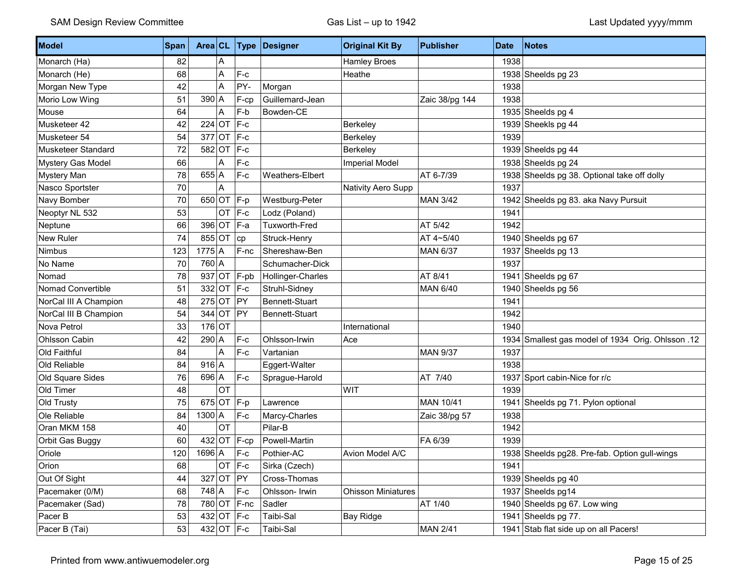| Model                 | Span |               |           |                | Area CL Type Designer | <b>Original Kit By</b>    | <b>Publisher</b> | <b>Date</b> | Notes                                             |
|-----------------------|------|---------------|-----------|----------------|-----------------------|---------------------------|------------------|-------------|---------------------------------------------------|
| Monarch (Ha)          | 82   |               | Α         |                |                       | <b>Hamley Broes</b>       |                  | 1938        |                                                   |
| Monarch (He)          | 68   |               | A         | $F-c$          |                       | Heathe                    |                  |             | 1938 Sheelds pg 23                                |
| Morgan New Type       | 42   |               | A         | PY-            | Morgan                |                           |                  | 1938        |                                                   |
| Morio Low Wing        | 51   | $390$ A       |           | F-cp           | Guillemard-Jean       |                           | Zaic 38/pg 144   | 1938        |                                                   |
| Mouse                 | 64   |               | A         | F-b            | Bowden-CE             |                           |                  |             | 1935 Sheelds pg 4                                 |
| Musketeer 42          | 42   | $224$ OT      |           | $F-c$          |                       | Berkeley                  |                  |             | 1939 Sheekls pg 44                                |
| Musketeer 54          | 54   |               |           | $377$ OT F-c   |                       | Berkeley                  |                  | 1939        |                                                   |
| Musketeer Standard    | 72   |               |           | 582 OT F-c     |                       | Berkeley                  |                  |             | 1939 Sheelds pg 44                                |
| Mystery Gas Model     | 66   |               | A         | $F-c$          |                       | <b>Imperial Model</b>     |                  |             | 1938 Sheelds pg 24                                |
| Mystery Man           | 78   | $655$ A       |           | $F-c$          | Weathers-Elbert       |                           | AT 6-7/39        |             | 1938 Sheelds pg 38. Optional take off dolly       |
| Nasco Sportster       | 70   |               | A         |                |                       | Nativity Aero Supp        |                  | 1937        |                                                   |
| Navy Bomber           | 70   |               |           | 650 OT F-p     | Westburg-Peter        |                           | <b>MAN 3/42</b>  |             | 1942 Sheelds pg 83. aka Navy Pursuit              |
| Neoptyr NL 532        | 53   |               |           | $OT$  F-c      | Lodz (Poland)         |                           |                  | 1941        |                                                   |
| Neptune               | 66   |               |           | 396 OT F-a     | <b>Tuxworth-Fred</b>  |                           | AT 5/42          | 1942        |                                                   |
| <b>New Ruler</b>      | 74   |               | 855 OT cp |                | Struck-Henry          |                           | AT 4~5/40        |             | 1940 Sheelds pg 67                                |
| Nimbus                | 123  | $1775$ A      |           | F-nc           | Shereshaw-Ben         |                           | <b>MAN 6/37</b>  |             | 1937 Sheelds pg 13                                |
| No Name               | 70   | 760 A         |           |                | Schumacher-Dick       |                           |                  | 1937        |                                                   |
| Nomad                 | 78   |               |           | $937$ OT F-pb  | Hollinger-Charles     |                           | AT 8/41          |             | 1941 Sheelds pg 67                                |
| Nomad Convertible     | 51   |               |           | 332 OT F-c     | Struhl-Sidney         |                           | <b>MAN 6/40</b>  |             | 1940 Sheelds pg 56                                |
| NorCal III A Champion | 48   |               | 275 OT PY |                | Bennett-Stuart        |                           |                  | 1941        |                                                   |
| NorCal III B Champion | 54   |               | 344 OT PY |                | Bennett-Stuart        |                           |                  | 1942        |                                                   |
| Nova Petrol           | 33   | $176$ OT      |           |                |                       | International             |                  | 1940        |                                                   |
| Ohlsson Cabin         | 42   | $290$ A       |           | $F-c$          | Ohlsson-Irwin         | Ace                       |                  |             | 12. 1934 Smallest gas model of 1934 Orig. Ohlsson |
| Old Faithful          | 84   |               | A         | $F-c$          | Vartanian             |                           | <b>MAN 9/37</b>  | 1937        |                                                   |
| Old Reliable          | 84   | $916$ A       |           |                | Eggert-Walter         |                           |                  | 1938        |                                                   |
| Old Square Sides      | 76   | $696$ A       |           | $F-c$          | Sprague-Harold        |                           | AT 7/40          |             | 1937 Sport cabin-Nice for r/c                     |
| Old Timer             | 48   |               | OT        |                |                       | WIT                       |                  | 1939        |                                                   |
| Old Trusty            | 75   |               |           | 675 OT $F-p$   | Lawrence              |                           | MAN 10/41        |             | 1941 Sheelds pg 71. Pylon optional                |
| Ole Reliable          | 84   | $1300 \mid A$ |           | $F-c$          | Marcy-Charles         |                           | Zaic 38/pg 57    | 1938        |                                                   |
| Oran MKM 158          | 40   |               | OT        |                | Pilar-B               |                           |                  | 1942        |                                                   |
| Orbit Gas Buggy       | 60   |               |           | $432$ OT F-cp  | Powell-Martin         |                           | FA 6/39          | 1939        |                                                   |
| Oriole                | 120  | $1696$ A      |           | $ F-c $        | Pothier-AC            | Avion Model A/C           |                  |             | 1938 Sheelds pg28. Pre-fab. Option gull-wings     |
| Orion                 | 68   |               |           | $OT$ F-c       | Sirka (Czech)         |                           |                  | 1941        |                                                   |
| Out Of Sight          | 44   |               | 327 OT PY |                | Cross-Thomas          |                           |                  |             | 1939 Sheelds pg 40                                |
| Pacemaker (0/M)       | 68   | 748 A         |           | $F-c$          | Ohlsson- Irwin        | <b>Ohisson Miniatures</b> |                  |             | 1937 Sheelds pg14                                 |
| Pacemaker (Sad)       | 78   |               |           | 780 OT F-nc    | Sadler                |                           | AT 1/40          |             | 1940 Sheelds pg 67. Low wing                      |
| Pacer B               | 53   |               |           | 432 OT F-c     | Taibi-Sal             | Bay Ridge                 |                  |             | 1941 Sheelds pg 77.                               |
| Pacer B (Tai)         | 53   |               |           | 432 OT $ F-c $ | Taibi-Sal             |                           | <b>MAN 2/41</b>  |             | 1941 Stab flat side up on all Pacers!             |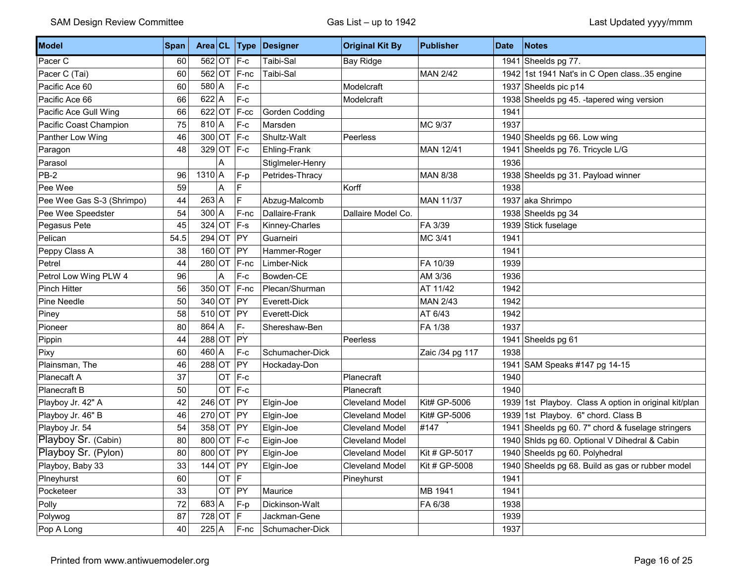| Model                     | Span | Area CL       |          | Type       | Designer         | <b>Original Kit By</b> | <b>Publisher</b> | <b>Date</b> | <b>Notes</b>                                          |
|---------------------------|------|---------------|----------|------------|------------------|------------------------|------------------|-------------|-------------------------------------------------------|
| Pacer C                   | 60   |               |          | 562 OT F-c | Taibi-Sal        | <b>Bay Ridge</b>       |                  |             | 1941 Sheelds pg $77$ .                                |
| Pacer C (Tai)             | 60   | $562$ OT      |          | F-nc       | Taibi-Sal        |                        | <b>MAN 2/42</b>  |             | 1942 1st 1941 Nat's in C Open class. 35 engine        |
| Pacific Ace 60            | 60   | $580$ A       |          | $F-c$      |                  | Modelcraft             |                  |             | 1937 Sheelds pic p14                                  |
| Pacific Ace 66            | 66   | $622$ A       |          | $F-c$      |                  | Modelcraft             |                  |             | 1938 Sheelds pg 45. -tapered wing version             |
| Pacific Ace Gull Wing     | 66   | $622$ OT      |          | F-cc       | Gorden Codding   |                        |                  | 1941        |                                                       |
| Pacific Coast Champion    | 75   | $810 \vert A$ |          | F-c        | Marsden          |                        | MC 9/37          | 1937        |                                                       |
| Panther Low Wing          | 46   | $300$ OT      |          | $ F-c$     | Shultz-Walt      | Peerless               |                  |             | 1940 Sheelds pg 66. Low wing                          |
| Paragon                   | 48   | $329$ OT      |          | $ F-c$     | Ehling-Frank     |                        | MAN 12/41        |             | 1941 Sheelds pg 76. Tricycle L/G                      |
| Parasol                   |      |               | Α        |            | Stiglmeler-Henry |                        |                  | 1936        |                                                       |
| PB-2                      | 96   | $1310$ A      |          | F-p        | Petrides-Thracy  |                        | <b>MAN 8/38</b>  |             | 1938 Sheelds pg 31. Payload winner                    |
| Pee Wee                   | 59   |               | Α        | F          |                  | Korff                  |                  | 1938        |                                                       |
| Pee Wee Gas S-3 (Shrimpo) | 44   | $263$ A       |          | F          | Abzug-Malcomb    |                        | <b>MAN 11/37</b> |             | 1937 aka Shrimpo                                      |
| Pee Wee Speedster         | 54   | $300 \mid A$  |          | F-nc       | Dallaire-Frank   | Dallaire Model Co.     |                  |             | 1938 Sheelds pg 34                                    |
| Pegasus Pete              | 45   | $324$ OT      |          | $F-S$      | Kinney-Charles   |                        | FA 3/39          |             | 1939 Stick fuselage                                   |
| Pelican                   | 54.5 | $294$ OT      |          | PY         | Guarneiri        |                        | MC 3/41          | 1941        |                                                       |
| Peppy Class A             | 38   | $160$ OT      |          | PY         | Hammer-Roger     |                        |                  | 1941        |                                                       |
| Petrel                    | 44   | $280$ OT      |          | $F-nc$     | Limber-Nick      |                        | FA 10/39         | 1939        |                                                       |
| Petrol Low Wing PLW 4     | 96   |               | Α        | $F-c$      | Bowden-CE        |                        | AM 3/36          | 1936        |                                                       |
| <b>Pinch Hitter</b>       | 56   | $350$ OT      |          | F-nc       | Plecan/Shurman   |                        | AT 11/42         | 1942        |                                                       |
| Pine Needle               | 50   | $340$ OT      |          | PY         | Everett-Dick     |                        | <b>MAN 2/43</b>  | 1942        |                                                       |
| Piney                     | 58   | $510$ OT      |          | PY         | Everett-Dick     |                        | AT 6/43          | 1942        |                                                       |
| Pioneer                   | 80   | $864$ A       |          | $F -$      | Shereshaw-Ben    |                        | FA 1/38          | 1937        |                                                       |
| Pippin                    | 44   | $288$ OT      |          | PY         |                  | Peerless               |                  |             | 1941 Sheelds pg 61                                    |
| Pixy                      | 60   | $460 \mid A$  |          | $F-c$      | Schumacher-Dick  |                        | Zaic /34 pg 117  | 1938        |                                                       |
| Plainsman, The            | 46   | $288$ OT      |          | PY         | Hockaday-Don     |                        |                  | 1941        | SAM Speaks #147 pg 14-15                              |
| Planecaft A               | 37   |               | OT       | $F-c$      |                  | Planecraft             |                  | 1940        |                                                       |
| Planecraft B              | 50   |               | OT       | F-c        |                  | Planecraft             |                  | 1940        |                                                       |
| Playboy Jr. 42" A         | 42   | $246$ OT      |          | PY         | Elgin-Joe        | <b>Cleveland Model</b> | Kit# GP-5006     |             | 1939 1st Playboy. Class A option in original kit/plan |
| Playboy Jr. 46" B         | 46   | $270$ OT      |          | PY         | Elgin-Joe        | <b>Cleveland Model</b> | Kit# GP-5006     |             | 1939 1st Playboy. 6" chord. Class B                   |
| Playboy Jr. 54            | 54   | $358$ OT      |          | PY         | Elgin-Joe        | Cleveland Model        | #147             |             | 1941 Sheelds pg 60. 7" chord & fuselage stringers     |
| Playboy Sr. (Cabin)       | 80   | 800 OT F-c    |          |            | Eigin-Joe        | <b>Cleveland Model</b> |                  |             | 1940 Shids pg 60. Optional V Dihedral & Cabin         |
| Playboy Sr. (Pylon)       | 80   | 800 OT PY     |          |            | Elgin-Joe        | <b>Cleveland Model</b> | Kit # GP-5017    |             | 1940 Sheelds pg 60. Polyhedral                        |
| Playboy, Baby 33          | 33   | $144$ OT PY   |          |            | Elgin-Joe        | <b>Cleveland Model</b> | Kit # GP-5008    |             | 1940 Sheelds pg 68. Build as gas or rubber model      |
| Plneyhurst                | 60   |               | $OT$ $F$ |            |                  | Pineyhurst             |                  | 1941        |                                                       |
| Pocketeer                 | 33   |               |          | OT PY      | Maurice          |                        | MB 1941          | 1941        |                                                       |
| Polly                     | 72   | $683$ A       |          | F-p        | Dickinson-Walt   |                        | FA 6/38          | 1938        |                                                       |
| Polywog                   | 87   | 728 OT $ F $  |          |            | Jackman-Gene     |                        |                  | 1939        |                                                       |
| Pop A Long                | 40   | $225 \mid A$  |          | $F-nc$     | Schumacher-Dick  |                        |                  | 1937        |                                                       |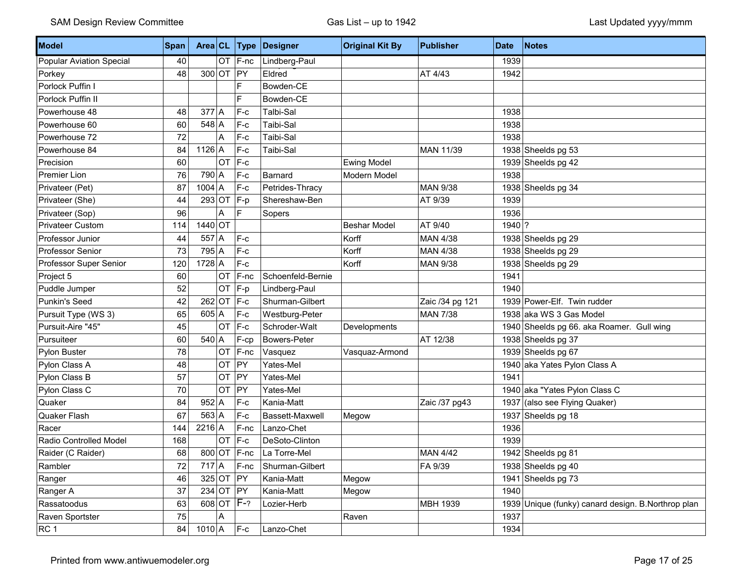| Model                           | Span |           |              | Area CL Type | Designer            | <b>Original Kit By</b> | <b>Publisher</b> | <b>Date</b> | <b>Notes</b>                                   |
|---------------------------------|------|-----------|--------------|--------------|---------------------|------------------------|------------------|-------------|------------------------------------------------|
| <b>Popular Aviation Special</b> | 40   |           |              | $OT$ $F-nc$  | Lindberg-Paul       |                        |                  | 1939        |                                                |
| Porkey                          | 48   |           | 300 OT PY    |              | Eldred              |                        | AT 4/43          | 1942        |                                                |
| Porlock Puffin I                |      |           |              | F            | Bowden-CE           |                        |                  |             |                                                |
| Porlock Puffin II               |      |           |              | E            | Bowden-CE           |                        |                  |             |                                                |
| Powerhouse 48                   | 48   | $377$ A   |              | $F-c$        | <b>Talbi-Sal</b>    |                        |                  | 1938        |                                                |
| Powerhouse 60                   | 60   | $548$ A   |              | $F-c$        | Taibi-Sal           |                        |                  | 1938        |                                                |
| Powerhouse 72                   | 72   |           | A            | $F-c$        | Taibi-Sal           |                        |                  | 1938        |                                                |
| Powerhouse 84                   | 84   | $1126$ A  |              | $F-c$        | Taibi-Sal           |                        | MAN 11/39        |             | 1938 Sheelds pg 53                             |
| Precision                       | 60   |           | <b>OT</b>    | $F-c$        |                     | <b>Ewing Model</b>     |                  |             | 1939 Sheelds pg 42                             |
| <b>Premier Lion</b>             | 76   | 790 A     |              | $F-c$        | Barnard             | Modern Model           |                  | 1938        |                                                |
| Privateer (Pet)                 | 87   | $1004$ A  |              | $F-c$        | Petrides-Thracy     |                        | <b>MAN 9/38</b>  |             | 1938 Sheelds pg 34                             |
| Privateer (She)                 | 44   |           | 293 OT $F-p$ |              | Shereshaw-Ben       |                        | AT 9/39          | 1939        |                                                |
| Privateer (Sop)                 | 96   |           | A            | F            | Sopers              |                        |                  | 1936        |                                                |
| <b>Privateer Custom</b>         | 114  | $1440$ OT |              |              |                     | <b>Beshar Model</b>    | AT 9/40          | $1940$ ?    |                                                |
| Professor Junior                | 44   | $557$ A   |              | $F-c$        |                     | Korff                  | MAN 4/38         |             | 1938 Sheelds pg 29                             |
| <b>Professor Senior</b>         | 73   | $795$ A   |              | $F-c$        |                     | Korff                  | <b>MAN 4/38</b>  |             | 1938 Sheelds pg 29                             |
| Professor Super Senior          | 120  | $1728$ A  |              | $F-c$        |                     | Korff                  | <b>MAN 9/38</b>  |             | 1938 Sheelds pg 29                             |
| Project 5                       | 60   |           | <b>OT</b>    | F-nc         | Schoenfeld-Bernie   |                        |                  | 1941        |                                                |
| Puddle Jumper                   | 52   |           | OT F-p       |              | Lindberg-Paul       |                        |                  | 1940        |                                                |
| Punkin's Seed                   | 42   |           | $262$ OT F-c |              | Shurman-Gilbert     |                        | Zaic /34 pg 121  |             | 1939 Power-Elf. Twin rudder                    |
| Pursuit Type (WS 3)             | 65   | $605$ A   |              | F-c          | Westburg-Peter      |                        | <b>MAN 7/38</b>  |             | 1938 aka WS 3 Gas Model                        |
| Pursuit-Aire "45"               | 45   |           | $OT$ $F-c$   |              | Schroder-Walt       | Developments           |                  |             | 1940 Sheelds pg 66. aka Roamer. Gull wing      |
| Pursuiteer                      | 60   | $540$ A   |              | F-cp         | <b>Bowers-Peter</b> |                        | AT 12/38         |             | 1938 Sheelds pg 37                             |
| Pylon Buster                    | 78   |           |              | $OT$   F-nc  | Vasquez             | Vasquaz-Armond         |                  |             | 1939 Sheelds pg 67                             |
| Pylon Class A                   | 48   |           | <b>OT</b>    | PY           | Yates-Mel           |                        |                  |             | 1940 aka Yates Pylon Class A                   |
| Pylon Class B                   | 57   |           | OT           | PY           | Yates-Mel           |                        |                  | 1941        |                                                |
| Pylon Class C                   | 70   |           | <b>OT</b>    | PY           | Yates-Mel           |                        |                  |             | 1940 aka "Yates Pylon Class C                  |
| Quaker                          | 84   | $952$ A   |              | $F-c$        | Kania-Matt          |                        | Zaic /37 pg43    | 1937        | (also see Flying Quaker)                       |
| Quaker Flash                    | 67   | $563$ A   |              | $F-c$        | Bassett-Maxwell     | Megow                  |                  |             | 1937 Sheelds pg 18                             |
| Racer                           | 144  | $2216$ A  |              | F-nc         | Lanzo-Chet          |                        |                  | 1936        |                                                |
| Radio Controlled Model          | 168  |           | OT           | $F-c$        | DeSoto-Clinton      |                        |                  | 1939        |                                                |
| Raider (C Raider)               | 68   |           |              | 800 OT F-nc  | La Torre-Mel        |                        | <b>MAN 4/42</b>  |             | 1942 Sheelds pg 81                             |
| Rambler                         | 72   | $717$ A   |              | $F-nc$       | Shurman-Gilbert     |                        | FA 9/39          |             | 1938 Sheelds pg 40                             |
| Ranger                          | 46   |           | $325$ OT PY  |              | Kania-Matt          | Megow                  |                  |             | 1941 Sheelds pg $73$                           |
| Ranger A                        | 37   |           | $234$ OT PY  |              | Kania-Matt          | Megow                  |                  | 1940        |                                                |
| Rassatoodus                     | 63   |           |              | 608 OT F-?   | Lozier-Herb         |                        | MBH 1939         | 1939        | Unique (funky) canard design. B. Northrop plan |
| Raven Sportster                 | 75   |           | A            |              |                     | Raven                  |                  | 1937        |                                                |
| RC <sub>1</sub>                 | 84   | $1010$ A  |              | $F-c$        | Lanzo-Chet          |                        |                  | 1934        |                                                |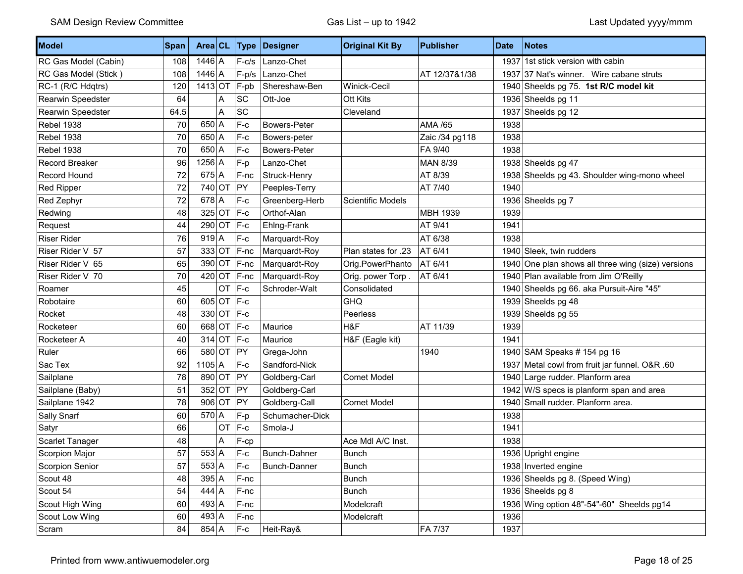| Model                 | Span | Area CL                 |              | Type        | Designer            | <b>Original Kit By</b> | <b>Publisher</b> | <b>Date</b> | <b>Notes</b>                                       |
|-----------------------|------|-------------------------|--------------|-------------|---------------------|------------------------|------------------|-------------|----------------------------------------------------|
| RC Gas Model (Cabin)  | 108  | $1446$ A                |              | $F-c/s$     | Lanzo-Chet          |                        |                  |             | 1937 1st stick version with cabin                  |
| RC Gas Model (Stick)  | 108  | $1446$ A                |              | $F-p/s$     | Lanzo-Chet          |                        | AT 12/37&1/38    |             | 1937 37 Nat's winner. Wire cabane struts           |
| RC-1 (R/C Hdqtrs)     | 120  | $1413$ OT               |              | $ F-pb $    | Shereshaw-Ben       | Winick-Cecil           |                  |             | 1940 Sheelds pg 75. 1st R/C model kit              |
| Rearwin Speedster     | 64   |                         | A            | SC          | Ott-Joe             | Ott Kits               |                  |             | 1936 Sheelds pg 11                                 |
| Rearwin Speedster     | 64.5 |                         | A            | SC          |                     | Cleveland              |                  |             | 1937 Sheelds pg 12                                 |
| <b>Rebel 1938</b>     | 70   | $650 \mid A$            |              | $F-c$       | <b>Bowers-Peter</b> |                        | AMA /65          | 1938        |                                                    |
| <b>Rebel 1938</b>     | 70   | $650 \, \vert \text{A}$ |              | $F-c$       | Bowers-peter        |                        | Zaic /34 pg118   | 1938        |                                                    |
| Rebel 1938            | 70   | $650 \mid A$            |              | $F-c$       | <b>Bowers-Peter</b> |                        | FA 9/40          | 1938        |                                                    |
| <b>Record Breaker</b> | 96   | $1256$ A                |              | F-p         | Lanzo-Chet          |                        | <b>MAN 8/39</b>  |             | 1938 Sheelds pg 47                                 |
| Record Hound          | 72   | $675$ A                 |              | F-nc        | Struck-Henry        |                        | AT 8/39          | 1938        | Sheelds pg 43. Shoulder wing-mono wheel            |
| <b>Red Ripper</b>     | 72   | $740$ OT                |              | PY          | Peeples-Terry       |                        | AT 7/40          | 1940        |                                                    |
| Red Zephyr            | 72   | $678$ A                 |              | $F-c$       | Greenberg-Herb      | Scientific Models      |                  |             | 1936 Sheelds pg 7                                  |
| Redwing               | 48   | $325$ OT                |              | $ F-c$      | Orthof-Alan         |                        | <b>MBH 1939</b>  | 1939        |                                                    |
| Request               | 44   | $290$ OT                |              | $ F-c$      | Ehlng-Frank         |                        | AT 9/41          | 1941        |                                                    |
| <b>Riser Rider</b>    | 76   | $919$ <sup>A</sup>      |              | F-c         | Marquardt-Roy       |                        | AT 6/38          | 1938        |                                                    |
| Riser Rider V 57      | 57   | $333$ OT                |              | $F-nc$      | Marquardt-Roy       | Plan states for .23    | AT 6/41          |             | 1940 Sleek, twin rudders                           |
| Riser Rider V 65      | 65   |                         |              | 390 OT F-nc | Marquardt-Roy       | Orig.PowerPhanto       | AT 6/41          |             | 1940 One plan shows all three wing (size) versions |
| Riser Rider V 70      | 70   | $420$ OT                |              | F-nc        | Marquardt-Roy       | Orig. power Torp.      | AT 6/41          |             | 1940 Plan available from Jim O'Reilly              |
| Roamer                | 45   |                         | <b>OT</b>    | $F-c$       | Schroder-Walt       | Consolidated           |                  |             | 1940 Sheelds pg 66. aka Pursuit-Aire "45"          |
| Robotaire             | 60   |                         | $605$ OT F-c |             |                     | <b>GHQ</b>             |                  |             | 1939 Sheelds pg 48                                 |
| Rocket                | 48   |                         | 330 OT F-c   |             |                     | Peerless               |                  |             | 1939 Sheelds pg 55                                 |
| Rocketeer             | 60   |                         | 668 OT F-c   |             | Maurice             | H&F                    | AT 11/39         | 1939        |                                                    |
| Rocketeer A           | 40   |                         | 314 OT F-c   |             | Maurice             | H&F (Eagle kit)        |                  | 1941        |                                                    |
| Ruler                 | 66   | 580 OT                  |              | PY          | Grega-John          |                        | 1940             |             | 1940 SAM Speaks # 154 pg 16                        |
| Sac Tex               | 92   | $1105$ A                |              | F-c         | Sandford-Nick       |                        |                  |             | 1937 Metal cowl from fruit jar funnel. O&R .60     |
| Sailplane             | 78   | 890 OT                  |              | $ $ PY      | Goldberg-Carl       | <b>Comet Model</b>     |                  |             | 1940 Large rudder. Planform area                   |
| Sailplane (Baby)      | 51   | $352$ OT                |              | PY          | Goldberg-Carl       |                        |                  |             | 1942 W/S specs is planform span and area           |
| Sailplane 1942        | 78   | $906$ OT                |              | PY          | Goldberg-Call       | <b>Comet Model</b>     |                  |             | 1940 Small rudder. Planform area.                  |
| Sally Snarf           | 60   | $570$ A                 |              | F-p         | Schumacher-Dick     |                        |                  | 1938        |                                                    |
| Satyr                 | 66   |                         | <b>OT</b>    | $F-c$       | Smola-J             |                        |                  | 1941        |                                                    |
| Scarlet Tanager       | 48   |                         | A            | F-cp        |                     | Ace Mdl A/C Inst.      |                  | 1938        |                                                    |
| <b>Scorpion Major</b> | 57   | $553$ A                 |              | $F-c$       | Bunch-Dahner        | <b>Bunch</b>           |                  |             | 1936 Upright engine                                |
| Scorpion Senior       | 57   | 553 A                   |              | $F-c$       | Bunch-Danner        | <b>Bunch</b>           |                  |             | 1938 Inverted engine                               |
| Scout 48              | 48   | $395$ A                 |              | $F-nc$      |                     | <b>Bunch</b>           |                  |             | 1936 Sheelds pg 8. (Speed Wing)                    |
| Scout 54              | 54   | $444$ A                 |              | F-nc        |                     | <b>Bunch</b>           |                  |             | 1936 Sheelds pg 8                                  |
| Scout High Wing       | 60   | $493 \mid A$            |              | $F$ -nc     |                     | Modelcraft             |                  |             | 1936 Wing option 48"-54"-60" Sheelds pg14          |
| Scout Low Wing        | 60   | $493 \mid A$            |              | F-nc        |                     | Modelcraft             |                  | 1936        |                                                    |
| Scram                 | 84   | $854 \, \vert \text{A}$ |              | $F-c$       | Heit-Ray&           |                        | FA 7/37          | 1937        |                                                    |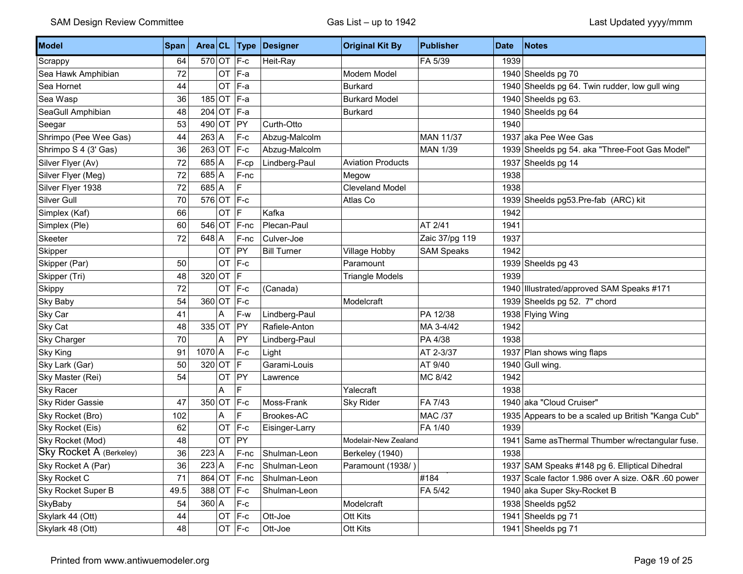| Model                          | Span | Area CL    |           | <b>Type</b>  | Designer           | <b>Original Kit By</b>   | <b>Publisher</b>  | <b>Date</b> | <b>Notes</b>                                       |
|--------------------------------|------|------------|-----------|--------------|--------------------|--------------------------|-------------------|-------------|----------------------------------------------------|
| Scrappy                        | 64   | 570 OT F-c |           |              | Heit-Ray           |                          | FA 5/39           | 1939        |                                                    |
| Sea Hawk Amphibian             | 72   |            | OT        | F-a          |                    | Modem Model              |                   |             | 1940 Sheelds pg 70                                 |
| Sea Hornet                     | 44   |            | OT        | $F-a$        |                    | <b>Burkard</b>           |                   |             | 1940 Sheelds pg 64. Twin rudder, low gull wing     |
| Sea Wasp                       | 36   | $185$ OT   |           | F-a          |                    | <b>Burkard Model</b>     |                   |             | 1940 Sheelds pg 63.                                |
| SeaGull Amphibian              | 48   | $204$ OT   |           | F-a          |                    | <b>Burkard</b>           |                   |             | 1940 Sheelds pg 64                                 |
| Seegar                         | 53   | $490$ OT   |           | PY           | Curth-Otto         |                          |                   | 1940        |                                                    |
| Shrimpo (Pee Wee Gas)          | 44   | $263$ A    |           | $F-c$        | Abzug-Malcolm      |                          | <b>MAN 11/37</b>  |             | 1937 aka Pee Wee Gas                               |
| Shrimpo S 4 (3' Gas)           | 36   | $263$ OT   |           | $F-c$        | Abzug-Malcolm      |                          | <b>MAN 1/39</b>   |             | 1939 Sheelds pg 54. aka "Three-Foot Gas Model"     |
| Silver Flyer (Av)              | 72   | $685$ A    |           | F-cp         | Lindberg-Paul      | <b>Aviation Products</b> |                   |             | 1937 Sheelds pg 14                                 |
| Silver Flyer (Meg)             | 72   | $685$ A    |           | F-nc         |                    | Megow                    |                   | 1938        |                                                    |
| Silver Flyer 1938              | 72   | $685$ A    |           | F            |                    | <b>Cleveland Model</b>   |                   | 1938        |                                                    |
| Silver Gull                    | 70   | $576$ OT   |           | $ F-c $      |                    | Atlas Co                 |                   | 1939        | Sheelds pg53.Pre-fab (ARC) kit                     |
| Simplex (Kaf)                  | 66   |            | OT        | $\mathsf{F}$ | Kafka              |                          |                   | 1942        |                                                    |
| Simplex (Ple)                  | 60   | $546$ OT   |           | F-nc         | Plecan-Paul        |                          | AT 2/41           | 1941        |                                                    |
| Skeeter                        | 72   | $648$ A    |           | F-nc         | Culver-Joe         |                          | Zaic 37/pg 119    | 1937        |                                                    |
| Skipper                        |      |            | OT        | PY           | <b>Bill Turner</b> | Village Hobby            | <b>SAM Speaks</b> | 1942        |                                                    |
| Skipper (Par)                  | 50   |            | OT        | $F-c$        |                    | Paramount                |                   |             | 1939 Sheelds pg 43                                 |
| Skipper (Tri)                  | 48   | $320$ OT   |           | IF           |                    | <b>Triangle Models</b>   |                   | 1939        |                                                    |
| Skippy                         | 72   |            | OT        | $F-c$        | (Canada)           |                          |                   | 1940        | Illustrated/approved SAM Speaks #171               |
| Sky Baby                       | 54   | $360$ OT   |           | $F-c$        |                    | Modelcraft               |                   |             | 1939 Sheelds pg 52. 7" chord                       |
| Sky Car                        | 41   |            | A         | F-w          | Lindberg-Paul      |                          | PA 12/38          |             | 1938 Flying Wing                                   |
| Sky Cat                        | 48   | $335$ OT   |           | PY           | Rafiele-Anton      |                          | MA 3-4/42         | 1942        |                                                    |
| Sky Charger                    | 70   |            | Α         | PY           | Lindberg-Paul      |                          | PA 4/38           | 1938        |                                                    |
| <b>Sky King</b>                | 91   | $1070$ A   |           | $F-c$        | Light              |                          | AT 2-3/37         |             | 1937 Plan shows wing flaps                         |
| Sky Lark (Gar)                 | 50   | 320 OT     |           | F            | Garami-Louis       |                          | AT 9/40           | 1940        | Gull wing.                                         |
| Sky Master (Rei)               | 54   |            | OT        | PY           | Lawrence           |                          | MC 8/42           | 1942        |                                                    |
| Sky Racer                      |      |            | A         | F            |                    | Yalecraft                |                   | 1938        |                                                    |
| Sky Rider Gassie               | 47   | $350$ OT   |           | $ F-c$       | Moss-Frank         | <b>Sky Rider</b>         | FA 7/43           |             | 1940 aka "Cloud Cruiser"                           |
| Sky Rocket (Bro)               | 102  |            | A         | F            | Brookes-AC         |                          | <b>MAC /37</b>    |             | 1935 Appears to be a scaled up British "Kanga Cub" |
| Sky Rocket (Eis)               | 62   |            | <b>OT</b> | $F-c$        | Eisinger-Larry     |                          | FA 1/40           | 1939        |                                                    |
| Sky Rocket (Mod)               | 48   |            | OT        | PY           |                    | Modelair-New Zealand     |                   | 1941        | Same as Thermal Thumber w/rectangular fuse.        |
| <b>Sky Rocket A (Berkeley)</b> | 36   | $223$ A    |           | $F$ -nc      | Shulman-Leon       | Berkeley (1940)          |                   | 1938        |                                                    |
| Sky Rocket A (Par)             | 36   | $223$ A    |           | F-nc         | Shulman-Leon       | Paramount (1938/)        |                   |             | 1937 SAM Speaks #148 pg 6. Elliptical Dihedral     |
| Sky Rocket C                   | 71   | 864 OT     |           | F-nc         | Shulman-Leon       |                          | #184              |             | 1937 Scale factor 1.986 over A size. O&R .60 power |
| Sky Rocket Super B             | 49.5 | $388$ OT   |           | $F-c$        | Shulman-Leon       |                          | FA 5/42           |             | 1940 aka Super Sky-Rocket B                        |
| SkyBaby                        | 54   | $360$ A    |           | F-c          |                    | Modelcraft               |                   |             | 1938 Sheelds pg52                                  |
| Skylark 44 (Ott)               | 44   |            | OT        | $F-c$        | Ott-Joe            | Ott Kits                 |                   | 1941        | Sheelds pg 71                                      |
| Skylark 48 (Ott)               | 48   |            |           | $OT$ F-c     | Ott-Joe            | Ott Kits                 |                   |             | 1941 Sheelds pg 71                                 |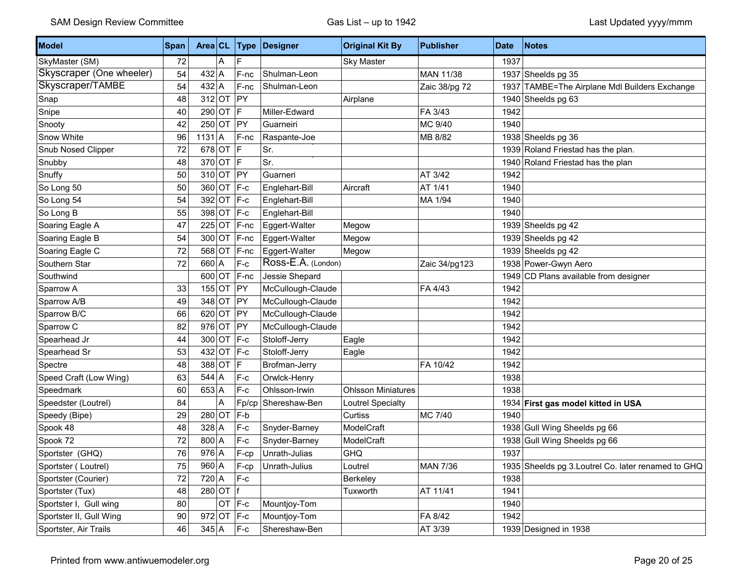| <b>Model</b>             | Span | Area CL           |   | Type     | Designer           | <b>Original Kit By</b>    | <b>Publisher</b> | <b>Date</b> | <b>Notes</b>                                        |
|--------------------------|------|-------------------|---|----------|--------------------|---------------------------|------------------|-------------|-----------------------------------------------------|
| SkyMaster (SM)           | 72   |                   | Α | F        |                    | <b>Sky Master</b>         |                  | 1937        |                                                     |
| Skyscraper (One wheeler) | 54   | $432$ A           |   | F-nc     | Shulman-Leon       |                           | <b>MAN 11/38</b> |             | 1937 Sheelds pg 35                                  |
| Skyscraper/TAMBE         | 54   | $432$ A           |   | F-nc     | Shulman-Leon       |                           | Zaic 38/pg 72    | 1937        | TAMBE=The Airplane Mdl Builders Exchange            |
| Snap                     | 48   | $312$ OT          |   | PY       |                    | Airplane                  |                  | 1940        | Sheelds pg 63                                       |
| Snipe                    | 40   | 290 OT F          |   |          | Miller-Edward      |                           | FA 3/43          | 1942        |                                                     |
| Snooty                   | 42   | $250$ OT PY       |   |          | Guarneiri          |                           | MC 9/40          | 1940        |                                                     |
| Snow White               | 96   | $1131$ A          |   | $F$ -nc  | Raspante-Joe       |                           | MB 8/82          |             | 1938 Sheelds pg 36                                  |
| Snub Nosed Clipper       | 72   | 678 OT F          |   |          | Sr.                |                           |                  |             | 1939 Roland Friestad has the plan.                  |
| Snubby                   | 48   | 370 OT F          |   |          | Sr.                |                           |                  |             | 1940 Roland Friestad has the plan                   |
| Snuffy                   | 50   | $310$ OT PY       |   |          | Guarneri           |                           | AT 3/42          | 1942        |                                                     |
| So Long 50               | 50   | 360 OT F-c        |   |          | Englehart-Bill     | Aircraft                  | AT 1/41          | 1940        |                                                     |
| So Long 54               | 54   | 392 OT F-c        |   |          | Englehart-Bill     |                           | MA 1/94          | 1940        |                                                     |
| So Long B                | 55   | 398 OT F-c        |   |          | Englehart-Bill     |                           |                  | 1940        |                                                     |
| Soaring Eagle A          | 47   | $225$ OT F-nc     |   |          | Eggert-Walter      | Megow                     |                  |             | 1939 Sheelds pg 42                                  |
| Soaring Eagle B          | 54   | $300$ OT          |   | F-nc     | Eggert-Walter      | Megow                     |                  |             | 1939 Sheelds pg 42                                  |
| Soaring Eagle C          | 72   | 568 OT F-nc       |   |          | Eggert-Walter      | Megow                     |                  |             | 1939 Sheelds pg 42                                  |
| Southern Star            | 72   | $660$ A           |   | $F-c$    | Ross-E.A. (London) |                           | Zaic 34/pg123    |             | 1938 Power-Gwyn Aero                                |
| Southwind                |      | 600 OT F-nc       |   |          | Jessie Shepard     |                           |                  | 1949        | CD Plans available from designer                    |
| Sparrow A                | 33   | $155$ OT          |   | PY       | McCullough-Claude  |                           | FA 4/43          | 1942        |                                                     |
| Sparrow A/B              | 49   | 348 OT PY         |   |          | McCullough-Claude  |                           |                  | 1942        |                                                     |
| Sparrow B/C              | 66   | $620$ OT          |   | $ $ PY   | McCullough-Claude  |                           |                  | 1942        |                                                     |
| Sparrow C                | 82   | 976 OT PY         |   |          | McCullough-Claude  |                           |                  | 1942        |                                                     |
| Spearhead Jr             | 44   | 300 OT F-c        |   |          | Stoloff-Jerry      | Eagle                     |                  | 1942        |                                                     |
| Spearhead Sr             | 53   | 432 OT $ F-c$     |   |          | Stoloff-Jerry      | Eagle                     |                  | 1942        |                                                     |
| Spectre                  | 48   | 388 OT            |   | IF.      | Brofman-Jerry      |                           | FA 10/42         | 1942        |                                                     |
| Speed Craft (Low Wing)   | 63   | $544$ A           |   | $F-c$    | Orwlck-Henry       |                           |                  | 1938        |                                                     |
| Speedmark                | 60   | $653$ A           |   | F-c      | Ohlsson-Irwin      | <b>Ohlsson Miniatures</b> |                  | 1938        |                                                     |
| Speedster (Loutrel)      | 84   |                   | A | Fp/cp    | Shereshaw-Ben      | Loutrel Specialty         |                  |             | 1934 First gas model kitted in USA                  |
| Speedy (Bipe)            | 29   | $280$ OT          |   | $F-b$    |                    | Curtiss                   | MC 7/40          | 1940        |                                                     |
| Spook 48                 | 48   | $328$ A           |   | $F-c$    | Snyder-Barney      | ModelCraft                |                  |             | 1938 Gull Wing Sheelds pg 66                        |
| Spook 72                 | 72   | $800 \vert A$     |   | $F-c$    | Snyder-Barney      | ModelCraft                |                  | 1938        | Gull Wing Sheelds pg 66                             |
| Sportster (GHQ)          | 76   | $976$ A           |   | F-cp     | Unrath-Julias      | <b>GHQ</b>                |                  | 1937        |                                                     |
| Sportster (Loutrel)      | 75   | $960$ A           |   | F-cp     | Unrath-Julius      | Loutrel                   | <b>MAN 7/36</b>  |             | 1935 Sheelds pg 3. Loutrel Co. later renamed to GHQ |
| Sportster (Courier)      | 72   | $720 \mid A \mid$ |   | $F-c$    |                    | Berkeley                  |                  | 1938        |                                                     |
| Sportster (Tux)          | 48   | $280$ OT  f       |   |          |                    | Tuxworth                  | AT 11/41         | 1941        |                                                     |
| Sportster I, Gull wing   | 80   |                   |   | $OT$ F-c | Mountjoy-Tom       |                           |                  | 1940        |                                                     |
| Sportster II, Gull Wing  | 90   | 972 OT $F-c$      |   |          | Mountjoy-Tom       |                           | FA 8/42          | 1942        |                                                     |
| Sportster, Air Trails    | 46   | $345 \vert A$     |   | $F-c$    | Shereshaw-Ben      |                           | AT 3/39          |             | 1939 Designed in 1938                               |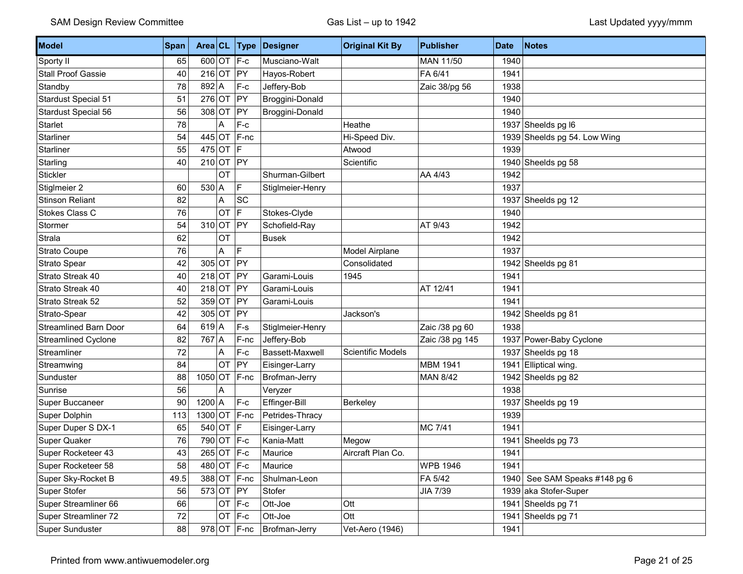| Model                        | Span   |                |            | Area $CL$ Type         | Designer         | <b>Original Kit By</b>   | <b>Publisher</b> | <b>Date</b> | Notes                         |
|------------------------------|--------|----------------|------------|------------------------|------------------|--------------------------|------------------|-------------|-------------------------------|
| Sporty II                    | 65     | 600 OT $F-c$   |            |                        | Musciano-Walt    |                          | MAN 11/50        | 1940        |                               |
| <b>Stall Proof Gassie</b>    | 40     | $216$ OT       |            | <b>PY</b>              | Hayos-Robert     |                          | FA 6/41          | 1941        |                               |
| Standby                      | 78     | $892$ A        |            | F-c                    | Jeffery-Bob      |                          | Zaic 38/pg 56    | 1938        |                               |
| <b>Stardust Special 51</b>   | 51     | $276$ OT       |            | PY                     | Broggini-Donald  |                          |                  | 1940        |                               |
| Stardust Special 56          | 56     | $308$ OT       |            | PY                     | Broggini-Donald  |                          |                  | 1940        |                               |
| <b>Starlet</b>               | 78     |                | Α          | $F-c$                  |                  | Heathe                   |                  |             | 1937 Sheelds pg I6            |
| Starliner                    | 54     |                |            | 445 OT $ F\text{-nc} $ |                  | Hi-Speed Div.            |                  | 1939        | Sheelds pg 54. Low Wing       |
| Starliner                    | 55     | 475 OT $ F $   |            |                        |                  | Atwood                   |                  | 1939        |                               |
| Starling                     | 40     | 210 OT PY      |            |                        |                  | Scientific               |                  | 1940        | Sheelds pg 58                 |
| Stickler                     |        |                | OT         |                        | Shurman-Gilbert  |                          | AA 4/43          | 1942        |                               |
| Stiglmeier 2                 | 60     | $530$ A        |            | F                      | Stiglmeier-Henry |                          |                  | 1937        |                               |
| <b>Stinson Reliant</b>       | 82     |                | А          | SC                     |                  |                          |                  | 1937        | Sheelds pg 12                 |
| <b>Stokes Class C</b>        | 76     |                | <b>OT</b>  | F                      | Stokes-Clyde     |                          |                  | 1940        |                               |
| Stormer                      | 54     | $310$ OT       |            | PY                     | Schofield-Ray    |                          | AT 9/43          | 1942        |                               |
| Strala                       | 62     |                | OT         |                        | <b>Busek</b>     |                          |                  | 1942        |                               |
| <b>Strato Coupe</b>          | 76     |                | Α          | F                      |                  | Model Airplane           |                  | 1937        |                               |
| Strato Spear                 | 42     |                | 305 OT PY  |                        |                  | Consolidated             |                  | 1942        | Sheelds pg 81                 |
| Strato Streak 40             | 40     | $218$ OT       |            | PY                     | Garami-Louis     | 1945                     |                  | 1941        |                               |
| Strato Streak 40             | 40     | $218$ OT       |            | PY                     | Garami-Louis     |                          | AT 12/41         | 1941        |                               |
| Strato Streak 52             | 52     | $359$ OT       |            | PY                     | Garami-Louis     |                          |                  | 1941        |                               |
| Strato-Spear                 | 42     |                | 305 OT PY  |                        |                  | Jackson's                |                  |             | 1942 Sheelds pg 81            |
| <b>Streamlined Barn Door</b> | 64     | $619$ A        |            | $F-S$                  | Stiglmeier-Henry |                          | Zaic /38 pg 60   | 1938        |                               |
| Streamlined Cyclone          | 82     | 767 A          |            | F-nc                   | Jeffery-Bob      |                          | Zaic /38 pg 145  |             | 1937 Power-Baby Cyclone       |
| Streamliner                  | 72     |                | A          | F-c                    | Bassett-Maxwell  | <b>Scientific Models</b> |                  | 1937        | Sheelds pg 18                 |
| Streamwing                   | 84     |                | OT         | PY                     | Eisinger-Larry   |                          | <b>MBM 1941</b>  | 1941        | Elliptical wing.              |
| Sunduster                    | 88     | $1050$ OT      |            | F-nc                   | Brofman-Jerry    |                          | <b>MAN 8/42</b>  | 1942        | Sheelds pg 82                 |
| Sunrise                      | 56     |                | A          |                        | Veryzer          |                          |                  | 1938        |                               |
| Super Buccaneer              | 90     | $1200$ A       |            | $F-c$                  | Effinger-Bill    | Berkeley                 |                  | 1937        | Sheelds pg 19                 |
| Super Dolphin                | 113    | $1300$ OT F-nc |            |                        | Petrides-Thracy  |                          |                  | 1939        |                               |
| Super Duper S DX-1           | 65     | $540$ OT       |            | F                      | Eisinger-Larry   |                          | MC 7/41          | 1941        |                               |
| Super Quaker                 | 76     |                | 790 OT F-c |                        | Kania-Matt       | Megow                    |                  | 1941        | Sheelds pg 73                 |
| Super Rocketeer 43           | 43     |                | 265 OT F-c |                        | Maurice          | Aircraft Plan Co.        |                  | 1941        |                               |
| Super Rocketeer 58           | 58     | 480 OT F-c     |            |                        | Maurice          |                          | <b>WPB 1946</b>  | 1941        |                               |
| Super Sky-Rocket B           | 49.5   |                |            | 388 OT F-nc            | Shulman-Leon     |                          | FA 5/42          |             | 1940 See SAM Speaks #148 pg 6 |
| Super Stofer                 | 56     |                | 573 OT PY  |                        | Stofer           |                          | JIA 7/39         |             | 1939 aka Stofer-Super         |
| Super Streamliner 66         | 66     |                | $OT$ F-c   |                        | Ott-Joe          | Ott                      |                  | 1941        | Sheelds pg 71                 |
| Super Streamliner 72         | $72\,$ |                | $OT$ F-c   |                        | Ott-Joe          | Ott                      |                  | 1941        | Sheelds pg 71                 |
| Super Sunduster              | 88     |                |            | $978$ OT F-nc          | Brofman-Jerry    | Vet-Aero (1946)          |                  | 1941        |                               |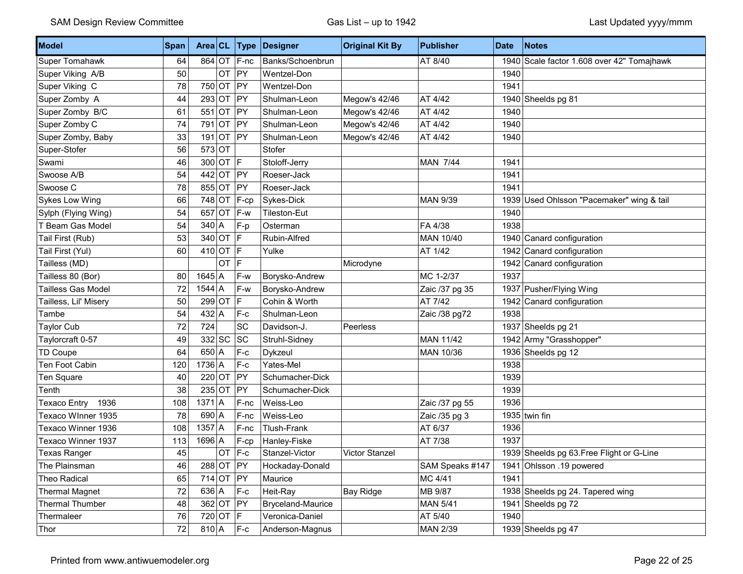| Model                 | <b>Span</b> |               |           | Area $CL$ Type | Designer          | <b>Original Kit By</b> | <b>Publisher</b> | <b>Date</b> | <b>Notes</b>                               |
|-----------------------|-------------|---------------|-----------|----------------|-------------------|------------------------|------------------|-------------|--------------------------------------------|
| Super Tomahawk        | 64          |               |           | 864 OT F-nc    | Banks/Schoenbrun  |                        | AT 8/40          |             | 1940 Scale factor 1.608 over 42" Tomajhawk |
| Super Viking A/B      | 50          |               | <b>OT</b> | PY             | Wentzel-Don       |                        |                  | 1940        |                                            |
| Super Viking C        | 78          | $750$ OT      |           | PY             | Wentzel-Don       |                        |                  | 1941        |                                            |
| Super Zomby A         | 44          | 293           | OT        | PY             | Shulman-Leon      | Megow's 42/46          | AT 4/42          |             | 1940 Sheelds pg 81                         |
| Super Zomby B/C       | 61          | 551           | OT        | PY             | Shulman-Leon      | Megow's 42/46          | AT 4/42          | 1940        |                                            |
| Super Zomby C         | 74          | 791           | OT        | PY             | Shulman-Leon      | Megow's 42/46          | AT 4/42          | 1940        |                                            |
| Super Zomby, Baby     | 33          | 191           | OT        | PY             | Shulman-Leon      | Megow's 42/46          | AT 4/42          | 1940        |                                            |
| Super-Stofer          | 56          | $573$ OT      |           |                | Stofer            |                        |                  |             |                                            |
| Swami                 | 46          |               | 300 OT F  |                | Stoloff-Jerry     |                        | <b>MAN 7/44</b>  | 1941        |                                            |
| Swoose A/B            | 54          | $442$ OT      |           | PY             | Roeser-Jack       |                        |                  | 1941        |                                            |
| Swoose C              | 78          | 855 OT        |           | PY             | Roeser-Jack       |                        |                  | 1941        |                                            |
| Sykes Low Wing        | 66          | 748 OT        |           | $F-cp$         | Sykes-Dick        |                        | <b>MAN 9/39</b>  |             | 1939 Used Ohlsson "Pacemaker" wing & tail  |
| Sylph (Flying Wing)   | 54          |               |           | 657 OT $ F-w $ | Tileston-Eut      |                        |                  | 1940        |                                            |
| T Beam Gas Model      | 54          | $340 \vert A$ |           | $F-p$          | Osterman          |                        | FA 4/38          | 1938        |                                            |
| Tail First (Rub)      | 53          | 340 OT $ F $  |           |                | Rubin-Alfred      |                        | MAN 10/40        |             | 1940 Canard configuration                  |
| Tail First (Yul)      | 60          | 410 OT $ F $  |           |                | Yulke             |                        | AT 1/42          |             | 1942 Canard configuration                  |
| Tailless (MD)         |             |               | OT F      |                |                   | Microdyne              |                  |             | 1942 Canard configuration                  |
| Tailless 80 (Bor)     | 80          | $1645$ A      |           | F-w            | Borysko-Andrew    |                        | MC 1-2/37        | 1937        |                                            |
| Tailless Gas Model    | 72          | $1544$ A      |           | F-w            | Borysko-Andrew    |                        | Zaic /37 pg 35   |             | 1937 Pusher/Flying Wing                    |
| Tailless, Lil' Misery | 50          | $299$ OT      |           | F              | Cohin & Worth     |                        | AT 7/42          |             | 1942 Canard configuration                  |
| Tambe                 | 54          | $432 \mid A$  |           | $F-c$          | Shulman-Leon      |                        | Zaic /38 pg72    | 1938        |                                            |
| Taylor Cub            | 72          | 724           |           | SC             | Davidson-J.       | Peerless               |                  |             | 1937 Sheelds pg 21                         |
| Taylorcraft 0-57      | 49          | 332 SC        |           | <b>SC</b>      | Struhl-Sidney     |                        | <b>MAN 11/42</b> |             | 1942 Army "Grasshopper"                    |
| TD Coupe              | 64          | $650 \mid A$  |           | F-c            | Dykzeul           |                        | MAN 10/36        |             | 1936 Sheelds pg 12                         |
| Ten Foot Cabin        | 120         | $1736$ A      |           | F-c            | Yates-Mel         |                        |                  | 1938        |                                            |
| Ten Square            | 40          | $220$ OT      |           | PY             | Schumacher-Dick   |                        |                  | 1939        |                                            |
| Tenth                 | 38          | $235$ OT      |           | PY             | Schumacher-Dick   |                        |                  | 1939        |                                            |
| Texaco Entry<br>1936  | 108         | $1371$ A      |           | F-nc           | Weiss-Leo         |                        | Zaic /37 pg 55   | 1936        |                                            |
| Texaco Winner 1935    | 78          | $690$ A       |           | F-nc           | Weiss-Leo         |                        | Zaic /35 pg 3    |             | 1935 twin fin                              |
| Texaco Winner 1936    | 108         | $1357$ A      |           | F-nc           | Tlush-Frank       |                        | AT 6/37          | 1936        |                                            |
| Texaco Winner 1937    | 113         | $1696$ A      |           | F-cp           | Hanley-Fiske      |                        | AT 7/38          | 1937        |                                            |
| Texas Ranger          | 45          |               | <b>OT</b> | $ F-c $        | Stanzel-Victor    | <b>Victor Stanzel</b>  |                  |             | 1939 Sheelds pg 63. Free Flight or G-Line  |
| The Plainsman         | 46          | 288 OT PY     |           |                | Hockaday-Donald   |                        | SAM Speaks #147  |             | 1941 Ohlsson .19 powered                   |
| Theo Radical          | 65          | 714 OT $ PY$  |           |                | Maurice           |                        | MC 4/41          | 1941        |                                            |
| <b>Thermal Magnet</b> | 72          | 636 A         |           | $F-c$          | Heit-Ray          | <b>Bay Ridge</b>       | MB 9/87          |             | 1938 Sheelds pg 24. Tapered wing           |
| Thermal Thumber       | 48          | 362 OT PY     |           |                | Bryceland-Maurice |                        | <b>MAN 5/41</b>  |             | 1941 Sheelds pg 72                         |
| Thermaleer            | 76          | 720 OT $ F $  |           |                | Veronica-Daniel   |                        | AT 5/40          | 1940        |                                            |
| Thor                  | 72          | $810 \vert A$ |           | $F-c$          | Anderson-Magnus   |                        | MAN 2/39         |             | 1939 Sheelds pg 47                         |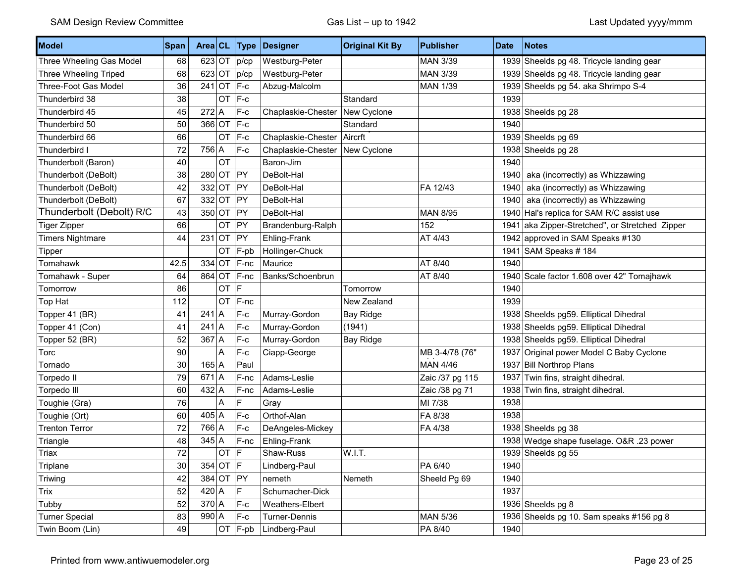| Model                    | Span | Area CL      |    | <b>Type</b> | Designer                       | <b>Original Kit By</b> | <b>Publisher</b> | <b>Date</b> | Notes                                           |
|--------------------------|------|--------------|----|-------------|--------------------------------|------------------------|------------------|-------------|-------------------------------------------------|
| Three Wheeling Gas Model | 68   | $623$ OT     |    | p/cp        | Westburg-Peter                 |                        | <b>MAN 3/39</b>  |             | 1939 Sheelds pg 48. Tricycle landing gear       |
| Three Wheeling Triped    | 68   | $623$ OT     |    | p/cp        | Westburg-Peter                 |                        | MAN 3/39         |             | 1939 Sheelds pg 48. Tricycle landing gear       |
| Three-Foot Gas Model     | 36   | $241$ OT     |    | F-c         | Abzug-Malcolm                  |                        | <b>MAN 1/39</b>  |             | 1939 Sheelds pg 54. aka Shrimpo S-4             |
| Thunderbird 38           | 38   |              | OT | F-c         |                                | Standard               |                  | 1939        |                                                 |
| Thunderbird 45           | 45   | $272$ A      |    | $F-c$       | Chaplaskie-Chester             | New Cyclone            |                  |             | 1938 Sheelds pg 28                              |
| Thunderbird 50           | 50   | $366$ OT     |    | F-c         |                                | Standard               |                  | 1940        |                                                 |
| Thunderbird 66           | 66   |              | OT | $F-c$       | Chaplaskie-Chester   Aircrft   |                        |                  |             | 1939 Sheelds pg 69                              |
| Thunderbird I            | 72   | 756 A        |    | $F-c$       | Chaplaskie-Chester New Cyclone |                        |                  |             | 1938 Sheelds pg 28                              |
| Thunderbolt (Baron)      | 40   |              | OT |             | Baron-Jim                      |                        |                  | 1940        |                                                 |
| Thunderbolt (DeBolt)     | 38   | $280$ OT     |    | PY          | DeBolt-Hal                     |                        |                  |             | 1940 aka (incorrectly) as Whizzawing            |
| Thunderbolt (DeBolt)     | 42   | $332$ OT     |    | PY          | DeBolt-Hal                     |                        | FA 12/43         | 1940        | aka (incorrectly) as Whizzawing                 |
| Thunderbolt (DeBolt)     | 67   | $332$ OT     |    | PY          | DeBolt-Hal                     |                        |                  |             | 1940 aka (incorrectly) as Whizzawing            |
| Thunderbolt (Debolt) R/C | 43   | $350$ OT     |    | PY          | DeBolt-Hal                     |                        | <b>MAN 8/95</b>  |             | 1940 Hal's replica for SAM R/C assist use       |
| Tiger Zipper             | 66   |              | OT | PY          | Brandenburg-Ralph              |                        | 152              |             | 1941 aka Zipper-Stretched", or Stretched Zipper |
| <b>Timers Nightmare</b>  | 44   | $231$ OT     |    | PY          | Ehling-Frank                   |                        | AT 4/43          |             | 1942 approved in SAM Speaks #130                |
| Tipper                   |      |              | OT | $F$ -pb     | Hollinger-Chuck                |                        |                  |             | 1941 SAM Speaks # 184                           |
| Tomahawk                 | 42.5 | $334$ OT     |    | F-nc        | Maurice                        |                        | AT 8/40          | 1940        |                                                 |
| Tomahawk - Super         | 64   | 864 OT       |    | F-nc        | Banks/Schoenbrun               |                        | AT 8/40          |             | 1940 Scale factor 1.608 over 42" Tomajhawk      |
| Tomorrow                 | 86   |              | OT | E           |                                | Tomorrow               |                  | 1940        |                                                 |
| Top Hat                  | 112  |              | OT | $F-nc$      |                                | New Zealand            |                  | 1939        |                                                 |
| Topper 41 (BR)           | 41   | $241$ A      |    | $F-c$       | Murray-Gordon                  | <b>Bay Ridge</b>       |                  |             | 1938 Sheelds pg59. Elliptical Dihedral          |
| Topper 41 (Con)          | 41   | $241$ A      |    | $F-c$       | Murray-Gordon                  | (1941)                 |                  |             | 1938 Sheelds pg59. Elliptical Dihedral          |
| Topper 52 (BR)           | 52   | $367$ A      |    | $F-c$       | Murray-Gordon                  | <b>Bay Ridge</b>       |                  |             | 1938 Sheelds pg59. Elliptical Dihedral          |
| Torc                     | 90   |              | Α  | $F-c$       | Ciapp-George                   |                        | MB 3-4/78 (76"   |             | 1937 Original power Model C Baby Cyclone        |
| Tornado                  | 30   | $165$ A      |    | Paul        |                                |                        | <b>MAN 4/46</b>  |             | 1937 Bill Northrop Plans                        |
| Torpedo II               | 79   | $671$ A      |    | F-nc        | Adams-Leslie                   |                        | Zaic /37 pg 115  |             | 1937 Twin fins, straight dihedral.              |
| Torpedo III              | 60   | $432$ A      |    | F-nc        | Adams-Leslie                   |                        | Zaic /38 pg 71   |             | 1938 Twin fins, straight dihedral.              |
| Toughie (Gra)            | 76   |              | Α  | F           | Gray                           |                        | MI 7/38          | 1938        |                                                 |
| Toughie (Ort)            | 60   | $405 \mid A$ |    | $F-c$       | Orthof-Alan                    |                        | FA 8/38          | 1938        |                                                 |
| <b>Trenton Terror</b>    | 72   | 766 A        |    | $F-c$       | DeAngeles-Mickey               |                        | FA 4/38          |             | 1938 Sheelds pg 38                              |
| Triangle                 | 48   | $345$ A      |    | F-nc        | Ehling-Frank                   |                        |                  |             | 1938 Wedge shape fuselage. O&R .23 power        |
| Triax                    | 72   |              | OT | F           | Shaw-Russ                      | W.I.T.                 |                  |             | 1939 Sheelds pg 55                              |
| Triplane                 | 30   | $354$ OT F   |    |             | Lindberg-Paul                  |                        | PA 6/40          | 1940        |                                                 |
| Triwing                  | 42   |              |    | 384 OT PY   | nemeth                         | Nemeth                 | Sheeld Pg 69     | 1940        |                                                 |
| Trix                     | 52   | $420 \mid A$ |    | F.          | Schumacher-Dick                |                        |                  | 1937        |                                                 |
| Tubby                    | 52   | $370$ A      |    | $F-c$       | Weathers-Elbert                |                        |                  |             | 1936 Sheelds pg 8                               |
| <b>Turner Special</b>    | 83   | $990 \mid A$ |    | F-c         | Turner-Dennis                  |                        | <b>MAN 5/36</b>  |             | 1936 Sheelds pg 10. Sam speaks #156 pg 8        |
| Twin Boom (Lin)          | 49   |              |    | OT F-pb     | Lindberg-Paul                  |                        | PA 8/40          | 1940        |                                                 |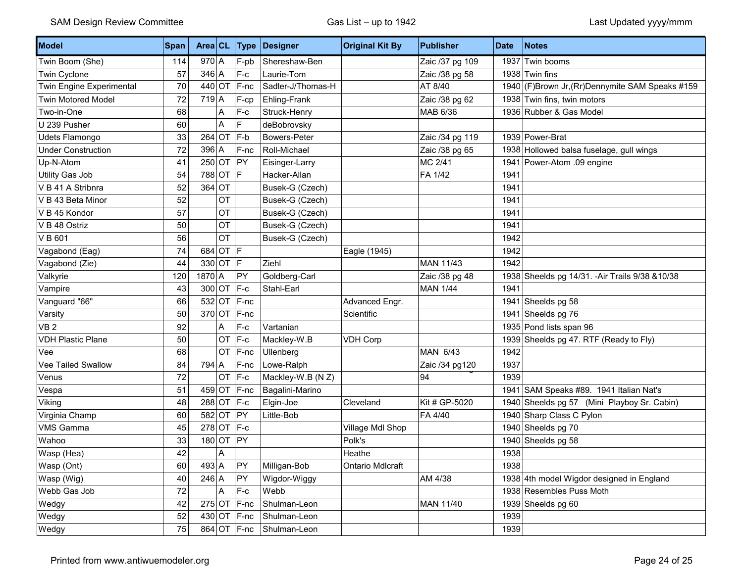| Model                     | Span |          |            |                        | Area CL Type Designer | <b>Original Kit By</b> | <b>Publisher</b> | <b>Date</b> | <b>Notes</b>                                     |
|---------------------------|------|----------|------------|------------------------|-----------------------|------------------------|------------------|-------------|--------------------------------------------------|
| Twin Boom (She)           | 114  | $970$ A  |            | F-pb                   | Shereshaw-Ben         |                        | Zaic /37 pg 109  |             | 1937 Twin booms                                  |
| Twin Cyclone              | 57   | $346$ A  |            | $F-c$                  | Laurie-Tom            |                        | Zaic /38 pg 58   |             | 1938 Twin fins                                   |
| Twin Engine Experimental  | 70   | $440$ OT |            | F-nc                   | Sadler-J/Thomas-H     |                        | AT 8/40          |             | 1940 (F)Brown Jr, (Rr)Dennymite SAM Speaks #159  |
| <b>Twin Motored Model</b> | 72   | $719$ A  |            | F-cp                   | Ehling-Frank          |                        | Zaic /38 pg 62   |             | 1938 Twin fins, twin motors                      |
| Two-in-One                | 68   |          | Α          | $F-c$                  | Struck-Henry          |                        | MAB 6/36         |             | 1936 Rubber & Gas Model                          |
| U 239 Pusher              | 60   |          | A          | F.                     | deBobrovsky           |                        |                  |             |                                                  |
| Udets Flamongo            | 33   |          | $264$ OT   | F-b                    | Bowers-Peter          |                        | Zaic /34 pg 119  |             | 1939 Power-Brat                                  |
| <b>Under Construction</b> | 72   | $396$ A  |            | F-nc                   | Roll-Michael          |                        | Zaic /38 pg 65   |             | 1938 Hollowed balsa fuselage, gull wings         |
| Up-N-Atom                 | 41   |          | 250 OT PY  |                        | Eisinger-Larry        |                        | MC 2/41          |             | 1941 Power-Atom .09 engine                       |
| Utility Gas Job           | 54   |          | 788 OT F   |                        | Hacker-Allan          |                        | FA 1/42          | 1941        |                                                  |
| V B 41 A Stribnra         | 52   | $364$ OT |            |                        | Busek-G (Czech)       |                        |                  | 1941        |                                                  |
| V B 43 Beta Minor         | 52   |          | OT         |                        | Busek-G (Czech)       |                        |                  | 1941        |                                                  |
| V B 45 Kondor             | 57   |          | OT         |                        | Busek-G (Czech)       |                        |                  | 1941        |                                                  |
| V B 48 Ostriz             | 50   |          | OT         |                        | Busek-G (Czech)       |                        |                  | 1941        |                                                  |
| VB 601                    | 56   |          | OT         |                        | Busek-G (Czech)       |                        |                  | 1942        |                                                  |
| Vagabond (Eag)            | 74   |          | $684$ OT F |                        |                       | Eagle (1945)           |                  | 1942        |                                                  |
| Vagabond (Zie)            | 44   |          | 330 OT F   |                        | Ziehl                 |                        | <b>MAN 11/43</b> | 1942        |                                                  |
| Valkyrie                  | 120  | $1870$ A |            | PY                     | Goldberg-Carl         |                        | Zaic /38 pg 48   |             | 1938 Sheelds pg 14/31. - Air Trails 9/38 & 10/38 |
| Vampire                   | 43   |          |            | 300 OT F-c             | Stahl-Earl            |                        | <b>MAN 1/44</b>  | 1941        |                                                  |
| Vanguard "66"             | 66   |          |            | $532$ OT F-nc          |                       | Advanced Engr.         |                  |             | 1941 Sheelds pg 58                               |
| Varsity                   | 50   |          |            | $370$ OT F-nc          |                       | Scientific             |                  |             | 1941 Sheelds pg 76                               |
| VB <sub>2</sub>           | 92   |          | A          | $F-c$                  | Vartanian             |                        |                  |             | 1935 Pond lists span 96                          |
| <b>VDH Plastic Plane</b>  | 50   |          | OT         | $F-c$                  | Mackley-W.B           | <b>VDH Corp</b>        |                  |             | 1939 Sheelds pg 47. RTF (Ready to Fly)           |
| Vee                       | 68   |          | OT         | F-nc                   | Ullenberg             |                        | MAN 6/43         | 1942        |                                                  |
| Vee Tailed Swallow        | 84   | 794 A    |            | F-nc                   | Lowe-Ralph            |                        | Zaic /34 pg120   | 1937        |                                                  |
| Venus                     | 72   |          | OT         | $F-c$                  | Mackley-W.B (N Z)     |                        | 94               | 1939        |                                                  |
| Vespa                     | 51   |          |            | $459$ OT F-nc          | Bagalini-Marino       |                        |                  |             | 1941 SAM Speaks #89. 1941 Italian Nat's          |
| Viking                    | 48   |          | 288 OT F-c |                        | Elgin-Joe             | Cleveland              | Kit # GP-5020    |             | 1940 Sheelds pg 57 (Mini Playboy Sr. Cabin)      |
| Virginia Champ            | 60   |          | 582 OT PY  |                        | Little-Bob            |                        | FA 4/40          |             | 1940 Sharp Class C Pylon                         |
| <b>VMS Gamma</b>          | 45   |          | 278 OT F-c |                        |                       | Village Mdl Shop       |                  |             | 1940 Sheelds pg 70                               |
| Wahoo                     | 33   |          | 180 OT PY  |                        |                       | Polk's                 |                  |             | 1940 Sheelds pg 58                               |
| Wasp (Hea)                | 42   |          | A          |                        |                       | Heathe                 |                  | 1938        |                                                  |
| Wasp (Ont)                | 60   | $493$ A  |            | PY                     | Milligan-Bob          | Ontario Mdlcraft       |                  | 1938        |                                                  |
| Wasp (Wig)                | 40   | $246$ A  |            | PY                     | Wigdor-Wiggy          |                        | AM 4/38          |             | 1938 4th model Wigdor designed in England        |
| Webb Gas Job              | 72   |          | l A        | $F-c$                  | Webb                  |                        |                  |             | 1938 Resembles Puss Moth                         |
| Wedgy                     | 42   |          |            | $275$ OT F-nc          | Shulman-Leon          |                        | MAN 11/40        |             | 1939 Sheelds pg 60                               |
| Wedgy                     | 52   |          |            | 430 OT $ F\text{-nc} $ | Shulman-Leon          |                        |                  | 1939        |                                                  |
| Wedgy                     | 75   |          |            | $864$ OT F-nc          | Shulman-Leon          |                        |                  | 1939        |                                                  |